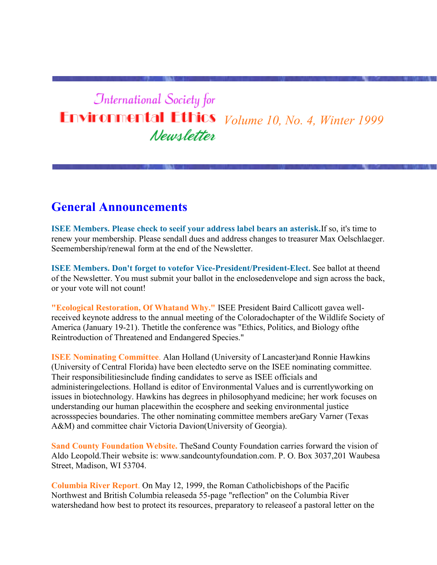# **International Society for Environmental Ethics** *Volume 10, No. 4, Winter 1999* Newsletter

### **General Announcements**

**ISEE Members. Please check to seeif your address label bears an asterisk.**If so, it's time to renew your membership. Please sendall dues and address changes to treasurer Max Oelschlaeger. Seemembership/renewal form at the end of the Newsletter.

**ISEE Members. Don't forget to votefor Vice-President/President-Elect.** See ballot at theend of the Newsletter. You must submit your ballot in the enclosedenvelope and sign across the back, or your vote will not count!

**"Ecological Restoration, Of Whatand Why."** ISEE President Baird Callicott gavea wellreceived keynote address to the annual meeting of the Coloradochapter of the Wildlife Society of America (January 19-21). Thetitle the conference was "Ethics, Politics, and Biology ofthe Reintroduction of Threatened and Endangered Species."

**ISEE Nominating Committee**. Alan Holland (University of Lancaster)and Ronnie Hawkins (University of Central Florida) have been electedto serve on the ISEE nominating committee. Their responsibilitiesinclude finding candidates to serve as ISEE officials and administeringelections. Holland is editor of Environmental Values and is currentlyworking on issues in biotechnology. Hawkins has degrees in philosophyand medicine; her work focuses on understanding our human placewithin the ecosphere and seeking environmental justice acrossspecies boundaries. The other nominating committee members areGary Varner (Texas A&M) and committee chair Victoria Davion(University of Georgia).

**Sand County Foundation Website.** TheSand County Foundation carries forward the vision of Aldo Leopold.Their website is: www.sandcountyfoundation.com. P. O. Box 3037,201 Waubesa Street, Madison, WI 53704.

**Columbia River Report**. On May 12, 1999, the Roman Catholicbishops of the Pacific Northwest and British Columbia releaseda 55-page "reflection" on the Columbia River watershedand how best to protect its resources, preparatory to releaseof a pastoral letter on the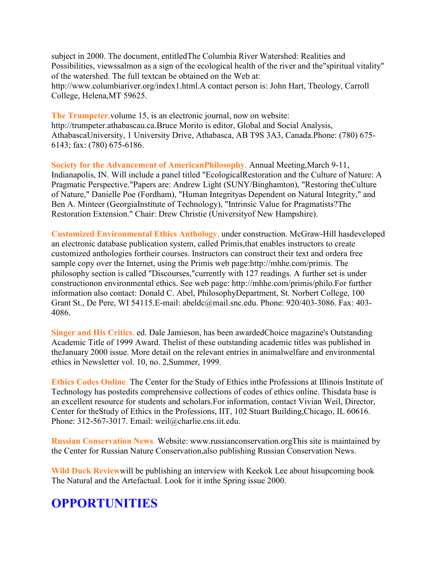subject in 2000. The document, entitledThe Columbia River Watershed: Realities and Possibilities, viewssalmon as a sign of the ecological health of the river and the"spiritual vitality" of the watershed. The full textcan be obtained on the Web at: http://www.columbiariver.org/index1.html.A contact person is: John Hart, Theology, Carroll College, Helena,MT 59625.

**The Trumpeter**,volume 15, is an electronic journal, now on website: http://trumpeter.athabascau.ca.Bruce Morito is editor, Global and Social Analysis, AthabascaUniversity, 1 University Drive, Athabasca, AB T9S 3A3, Canada.Phone: (780) 675- 6143; fax: (780) 675-6186.

**Society for the Advancement of AmericanPhilosophy**, Annual Meeting,March 9-11, Indianapolis, IN. Will include a panel titled "EcologicalRestoration and the Culture of Nature: A Pragmatic Perspective."Papers are: Andrew Light (SUNY/Binghamton), "Restoring theCulture of Nature," Danielle Poe (Fordham), "Human Integrityas Dependent on Natural Integrity," and Ben A. Minteer (GeorgiaInstitute of Technology), "Intrinsic Value for Pragmatists?The Restoration Extension." Chair: Drew Christie (Universityof New Hampshire).

**Customized Environmental Ethics Anthology**, under construction. McGraw-Hill hasdeveloped an electronic database publication system, called Primis,that enables instructors to create customized anthologies fortheir courses. Instructors can construct their text and ordera free sample copy over the Internet, using the Primis web page:http://mhhe.com/primis. The philosophy section is called "Discourses,"currently with 127 readings. A further set is under constructionon environmental ethics. See web page: http://mhhe.com/primis/philo.For further information also contact: Donald C. Abel, PhilosophyDepartment, St. Norbert College, 100 Grant St., De Pere, WI 54115.E-mail: abeldc@mail.snc.edu. Phone: 920/403-3086. Fax: 403- 4086.

**Singer and His Critics**, ed. Dale Jamieson, has been awardedChoice magazine's Outstanding Academic Title of 1999 Award. Thelist of these outstanding academic titles was published in theJanuary 2000 issue. More detail on the relevant entries in animalwelfare and environmental ethics in Newsletter vol. 10, no. 2,Summer, 1999.

**Ethics Codes Online**. The Center for the Study of Ethics inthe Professions at Illinois Institute of Technology has postedits comprehensive collections of codes of ethics online. Thisdata base is an excellent resource for students and scholars.For information, contact Vivian Weil, Director, Center for theStudy of Ethics in the Professions, IIT, 102 Stuart Building,Chicago, IL 60616. Phone: 312-567-3017. Email: weil@charlie.cns.iit.edu.

**Russian Conservation News**. Website: www.russianconservation.orgThis site is maintained by the Center for Russian Nature Conservation,also publishing Russian Conservation News.

**Wild Duck Review**will be publishing an interview with Keekok Lee about hisupcoming book The Natural and the Artefactual. Look for it inthe Spring issue 2000.

# **OPPORTUNITIES**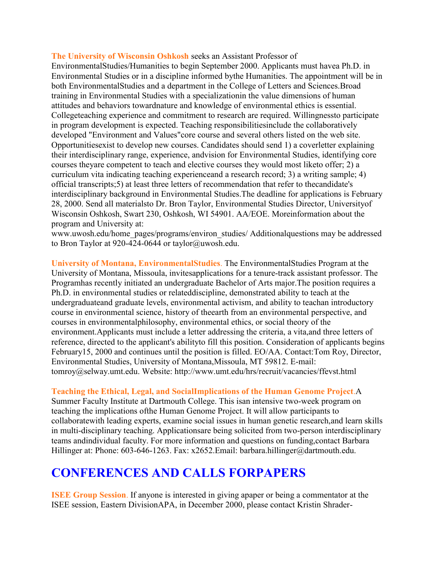#### **The University of Wisconsin Oshkosh** seeks an Assistant Professor of

EnvironmentalStudies/Humanities to begin September 2000. Applicants must havea Ph.D. in Environmental Studies or in a discipline informed bythe Humanities. The appointment will be in both EnvironmentalStudies and a department in the College of Letters and Sciences.Broad training in Environmental Studies with a specializationin the value dimensions of human attitudes and behaviors towardnature and knowledge of environmental ethics is essential. Collegeteaching experience and commitment to research are required. Willingnessto participate in program development is expected. Teaching responsibilitiesinclude the collaboratively developed "Environment and Values"core course and several others listed on the web site. Opportunitiesexist to develop new courses. Candidates should send 1) a coverletter explaining their interdisciplinary range, experience, andvision for Environmental Studies, identifying core courses theyare competent to teach and elective courses they would most liketo offer; 2) a curriculum vita indicating teaching experienceand a research record; 3) a writing sample; 4) official transcripts;5) at least three letters of recommendation that refer to thecandidate's interdisciplinary background in Environmental Studies.The deadline for applications is February 28, 2000. Send all materialsto Dr. Bron Taylor, Environmental Studies Director, Universityof Wisconsin Oshkosh, Swart 230, Oshkosh, WI 54901. AA/EOE. Moreinformation about the program and University at:

www.uwosh.edu/home\_pages/programs/environ\_studies/ Additionalquestions may be addressed to Bron Taylor at 920-424-0644 or taylor@uwosh.edu.

**University of Montana, EnvironmentalStudies**. The EnvironmentalStudies Program at the University of Montana, Missoula, invitesapplications for a tenure-track assistant professor. The Programhas recently initiated an undergraduate Bachelor of Arts major.The position requires a Ph.D. in environmental studies or relateddiscipline, demonstrated ability to teach at the undergraduateand graduate levels, environmental activism, and ability to teachan introductory course in environmental science, history of theearth from an environmental perspective, and courses in environmentalphilosophy, environmental ethics, or social theory of the environment.Applicants must include a letter addressing the criteria, a vita,and three letters of reference, directed to the applicant's abilityto fill this position. Consideration of applicants begins February15, 2000 and continues until the position is filled. EO/AA. Contact:Tom Roy, Director, Environmental Studies, University of Montana,Missoula, MT 59812. E-mail: tomroy@selway.umt.edu. Website: http://www.umt.edu/hrs/recruit/vacancies/ffevst.html

#### **Teaching the Ethical, Legal, and SocialImplications of the Human Genome Project**.A

Summer Faculty Institute at Dartmouth College. This isan intensive two-week program on teaching the implications ofthe Human Genome Project. It will allow participants to collaboratewith leading experts, examine social issues in human genetic research,and learn skills in multi-disciplinary teaching. Applicationsare being solicited from two-person interdisciplinary teams andindividual faculty. For more information and questions on funding,contact Barbara Hillinger at: Phone: 603-646-1263. Fax: x2652. Email: barbara.hillinger@dartmouth.edu.

### **CONFERENCES AND CALLS FORPAPERS**

**ISEE Group Session**. If anyone is interested in giving apaper or being a commentator at the ISEE session, Eastern DivisionAPA, in December 2000, please contact Kristin Shrader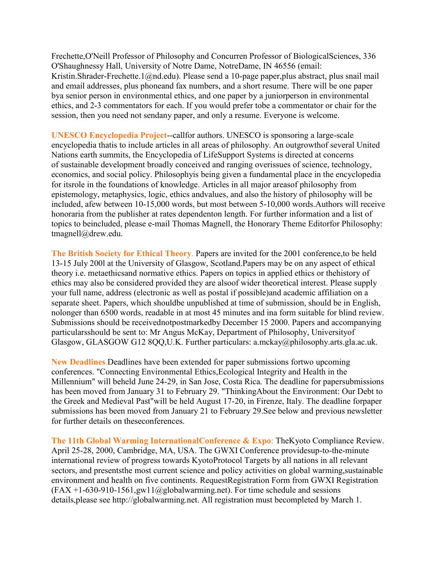Frechette,O'Neill Professor of Philosophy and Concurren Professor of BiologicalSciences, 336 O'Shaughnessy Hall, University of Notre Dame, NotreDame, IN 46556 (email: Kristin.Shrader-Frechette.1@nd.edu). Please send a 10-page paper,plus abstract, plus snail mail and email addresses, plus phoneand fax numbers, and a short resume. There will be one paper bya senior person in environmental ethics, and one paper by a juniorperson in environmental ethics, and 2-3 commentators for each. If you would prefer tobe a commentator or chair for the session, then you need not sendany paper, and only a resume. Everyone is welcome.

**UNESCO Encyclopedia Project**--callfor authors. UNESCO is sponsoring a large-scale encyclopedia thatis to include articles in all areas of philosophy. An outgrowthof several United Nations earth summits, the Encyclopedia of LifeSupport Systems is directed at concerns of sustainable development broadly conceived and ranging overissues of science, technology, economics, and social policy. Philosophyis being given a fundamental place in the encyclopedia for itsrole in the foundations of knowledge. Articles in all major areasof philosophy from epistemology, metaphysics, logic, ethics andvalues, and also the history of philosophy will be included, afew between 10-15,000 words, but most between 5-10,000 words.Authors will receive honoraria from the publisher at rates dependenton length. For further information and a list of topics to beincluded, please e-mail Thomas Magnell, the Honorary Theme Editorfor Philosophy: tmagnell@drew.edu.

**The British Society for Ethical Theory**. Papers are invited for the 2001 conference,to be held 13-15 July 200l at the University of Glasgow, Scotland.Papers may be on any aspect of ethical theory i.e. metaethicsand normative ethics. Papers on topics in applied ethics or thehistory of ethics may also be considered provided they are alsoof wider theoretical interest. Please supply your full name, address (electronic as well as postal if possible)and academic affiliation on a separate sheet. Papers, which shouldbe unpublished at time of submission, should be in English, nolonger than 6500 words, readable in at most 45 minutes and ina form suitable for blind review. Submissions should be receivednotpostmarkedby December 15 2000. Papers and accompanying particularsshould be sent to: Mr Angus McKay, Department of Philosophy, Universityof Glasgow, GLASGOW G12 8QQ,U.K. Further particulars: a.mckay@philosophy.arts.gla.ac.uk.

**New Deadlines**.Deadlines have been extended for paper submissions fortwo upcoming conferences. "Connecting Environmental Ethics,Ecological Integrity and Health in the Millennium" will beheld June 24-29, in San Jose, Costa Rica. The deadline for papersubmissions has been moved from January 31 to February 29. "ThinkingAbout the Environment: Our Debt to the Greek and Medieval Past"will be held August 17-20, in Firenze, Italy. The deadline forpaper submissions has been moved from January 21 to February 29.See below and previous newsletter for further details on theseconferences.

**The 11th Global Warming InternationalConference & Expo**: TheKyoto Compliance Review. April 25-28, 2000, Cambridge, MA, USA. The GWXI Conference providesup-to-the-minute international review of progress towards KyotoProtocol Targets by all nations in all relevant sectors, and presents the most current science and policy activities on global warming, sustainable environment and health on five continents. RequestRegistration Form from GWXI Registration  $(FAX +1-630-910-1561, gwl1@globalwarming.net)$ . For time schedule and sessions details,please see http://globalwarming.net. All registration must becompleted by March 1.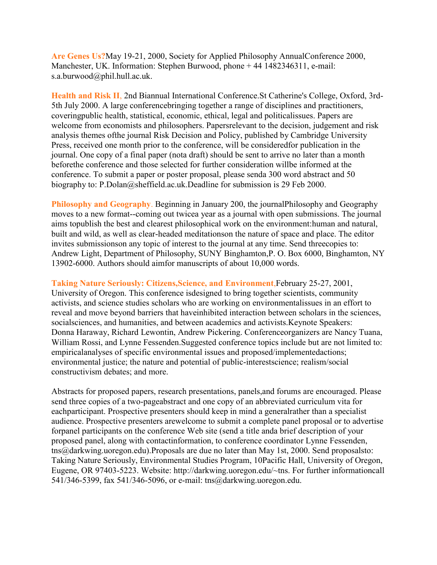**Are Genes Us?**May 19-21, 2000, Society for Applied Philosophy AnnualConference 2000, Manchester, UK. Information: Stephen Burwood, phone + 44 1482346311, e-mail: s.a.burwood@phil.hull.ac.uk.

**Health and Risk II**, 2nd Biannual International Conference.St Catherine's College, Oxford, 3rd-5th July 2000. A large conferencebringing together a range of disciplines and practitioners, coveringpublic health, statistical, economic, ethical, legal and politicalissues. Papers are welcome from economists and philosophers. Papersrelevant to the decision, judgement and risk analysis themes ofthe journal Risk Decision and Policy, published by Cambridge University Press, received one month prior to the conference, will be consideredfor publication in the journal. One copy of a final paper (nota draft) should be sent to arrive no later than a month beforethe conference and those selected for further consideration willbe informed at the conference. To submit a paper or poster proposal, please senda 300 word abstract and 50 biography to: P.Dolan@sheffield.ac.uk.Deadline for submission is 29 Feb 2000.

**Philosophy and Geography**. Beginning in January 200, the journalPhilosophy and Geography moves to a new format--coming out twicea year as a journal with open submissions. The journal aims topublish the best and clearest philosophical work on the environment:human and natural, built and wild, as well as clear-headed meditationson the nature of space and place. The editor invites submissionson any topic of interest to the journal at any time. Send threecopies to: Andrew Light, Department of Philosophy, SUNY Binghamton,P. O. Box 6000, Binghamton, NY 13902-6000. Authors should aimfor manuscripts of about 10,000 words.

**Taking Nature Seriously: Citizens,Science, and Environment**,February 25-27, 2001, University of Oregon. This conference isdesigned to bring together scientists, community activists, and science studies scholars who are working on environmentalissues in an effort to reveal and move beyond barriers that haveinhibited interaction between scholars in the sciences, socialsciences, and humanities, and between academics and activists.Keynote Speakers: Donna Haraway, Richard Lewontin, Andrew Pickering. Conferenceorganizers are Nancy Tuana, William Rossi, and Lynne Fessenden. Suggested conference topics include but are not limited to: empiricalanalyses of specific environmental issues and proposed/implementedactions; environmental justice; the nature and potential of public-interestscience; realism/social constructivism debates; and more.

Abstracts for proposed papers, research presentations, panels,and forums are encouraged. Please send three copies of a two-pageabstract and one copy of an abbreviated curriculum vita for eachparticipant. Prospective presenters should keep in mind a generalrather than a specialist audience. Prospective presenters arewelcome to submit a complete panel proposal or to advertise forpanel participants on the conference Web site (send a title anda brief description of your proposed panel, along with contactinformation, to conference coordinator Lynne Fessenden, tns@darkwing.uoregon.edu).Proposals are due no later than May 1st, 2000. Send proposalsto: Taking Nature Seriously, Environmental Studies Program, 10Pacific Hall, University of Oregon, Eugene, OR 97403-5223. Website: http://darkwing.uoregon.edu/~tns. For further informationcall 541/346-5399, fax 541/346-5096, or e-mail: tns@darkwing.uoregon.edu.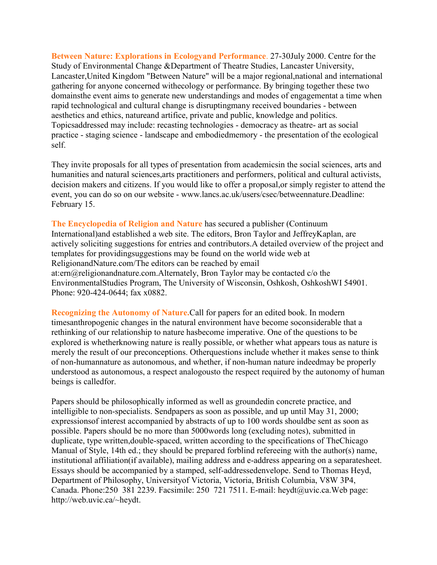**Between Nature: Explorations in Ecologyand Performance**. 27-30July 2000. Centre for the Study of Environmental Change &Department of Theatre Studies, Lancaster University, Lancaster,United Kingdom "Between Nature" will be a major regional,national and international gathering for anyone concerned withecology or performance. By bringing together these two domainsthe event aims to generate new understandings and modes of engagementat a time when rapid technological and cultural change is disruptingmany received boundaries - between aesthetics and ethics, natureand artifice, private and public, knowledge and politics. Topicsaddressed may include: recasting technologies - democracy as theatre- art as social practice - staging science - landscape and embodiedmemory - the presentation of the ecological self.

They invite proposals for all types of presentation from academicsin the social sciences, arts and humanities and natural sciences,arts practitioners and performers, political and cultural activists, decision makers and citizens. If you would like to offer a proposal,or simply register to attend the event, you can do so on our website - www.lancs.ac.uk/users/csec/betweennature.Deadline: February 15.

**The Encyclopedia of Religion and Nature** has secured a publisher (Continuum International)and established a web site. The editors, Bron Taylor and JeffreyKaplan, are actively soliciting suggestions for entries and contributors.A detailed overview of the project and templates for providingsuggestions may be found on the world wide web at ReligionandNature.com/The editors can be reached by email at:ern@religionandnature.com.Alternately, Bron Taylor may be contacted c/o the EnvironmentalStudies Program, The University of Wisconsin, Oshkosh, OshkoshWI 54901. Phone: 920-424-0644; fax x0882.

**Recognizing the Autonomy of Nature.**Call for papers for an edited book. In modern timesanthropogenic changes in the natural environment have become soconsiderable that a rethinking of our relationship to nature hasbecome imperative. One of the questions to be explored is whetherknowing nature is really possible, or whether what appears tous as nature is merely the result of our preconceptions. Otherquestions include whether it makes sense to think of non-humannature as autonomous, and whether, if non-human nature indeedmay be properly understood as autonomous, a respect analogousto the respect required by the autonomy of human beings is calledfor.

Papers should be philosophically informed as well as groundedin concrete practice, and intelligible to non-specialists. Sendpapers as soon as possible, and up until May 31, 2000; expressionsof interest accompanied by abstracts of up to 100 words shouldbe sent as soon as possible. Papers should be no more than 5000words long (excluding notes), submitted in duplicate, type written,double-spaced, written according to the specifications of TheChicago Manual of Style, 14th ed.; they should be prepared forblind refereeing with the author(s) name, institutional affiliation(if available), mailing address and e-address appearing on a separatesheet. Essays should be accompanied by a stamped, self-addressedenvelope. Send to Thomas Heyd, Department of Philosophy, Universityof Victoria, Victoria, British Columbia, V8W 3P4, Canada. Phone:250 381 2239. Facsimile: 250 721 7511. E-mail: heydt@uvic.ca.Web page: http://web.uvic.ca/~heydt.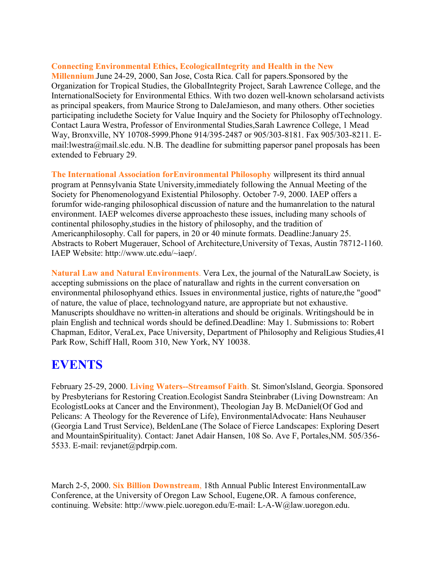#### **Connecting Environmental Ethics, EcologicalIntegrity and Health in the New**

**Millennium**.June 24-29, 2000, San Jose, Costa Rica. Call for papers.Sponsored by the Organization for Tropical Studies, the GlobalIntegrity Project, Sarah Lawrence College, and the InternationalSociety for Environmental Ethics. With two dozen well-known scholarsand activists as principal speakers, from Maurice Strong to DaleJamieson, and many others. Other societies participating includethe Society for Value Inquiry and the Society for Philosophy ofTechnology. Contact Laura Westra, Professor of Environmental Studies,Sarah Lawrence College, 1 Mead Way, Bronxville, NY 10708-5999.Phone 914/395-2487 or 905/303-8181. Fax 905/303-8211. Email:lwestra@mail.slc.edu. N.B. The deadline for submitting papersor panel proposals has been extended to February 29.

**The International Association forEnvironmental Philosophy** willpresent its third annual program at Pennsylvania State University,immediately following the Annual Meeting of the Society for Phenomenologyand Existential Philosophy. October 7-9, 2000. IAEP offers a forumfor wide-ranging philosophical discussion of nature and the humanrelation to the natural environment. IAEP welcomes diverse approachesto these issues, including many schools of continental philosophy,studies in the history of philosophy, and the tradition of Americanphilosophy. Call for papers, in 20 or 40 minute formats. Deadline:January 25. Abstracts to Robert Mugerauer, School of Architecture,University of Texas, Austin 78712-1160. IAEP Website: http://www.utc.edu/~iaep/.

**Natural Law and Natural Environments**. Vera Lex, the journal of the NaturalLaw Society, is accepting submissions on the place of naturallaw and rights in the current conversation on environmental philosophyand ethics. Issues in environmental justice, rights of nature,the "good" of nature, the value of place, technologyand nature, are appropriate but not exhaustive. Manuscripts shouldhave no written-in alterations and should be originals. Writingshould be in plain English and technical words should be defined.Deadline: May 1. Submissions to: Robert Chapman, Editor, VeraLex, Pace University, Department of Philosophy and Religious Studies,41 Park Row, Schiff Hall, Room 310, New York, NY 10038.

#### **EVENTS**

February 25-29, 2000. **Living Waters--Streamsof Faith**. St. Simon'sIsland, Georgia. Sponsored by Presbyterians for Restoring Creation.Ecologist Sandra Steinbraber (Living Downstream: An EcologistLooks at Cancer and the Environment), Theologian Jay B. McDaniel(Of God and Pelicans: A Theology for the Reverence of Life), EnvironmentalAdvocate: Hans Neuhauser (Georgia Land Trust Service), BeldenLane (The Solace of Fierce Landscapes: Exploring Desert and MountainSpirituality). Contact: Janet Adair Hansen, 108 So. Ave F, Portales,NM. 505/356- 5533. E-mail: revjanet@pdrpip.com.

March 2-5, 2000. **Six Billion Downstream**, 18th Annual Public Interest EnvironmentalLaw Conference, at the University of Oregon Law School, Eugene,OR. A famous conference, continuing. Website: http://www.pielc.uoregon.edu/E-mail: L-A-W@law.uoregon.edu.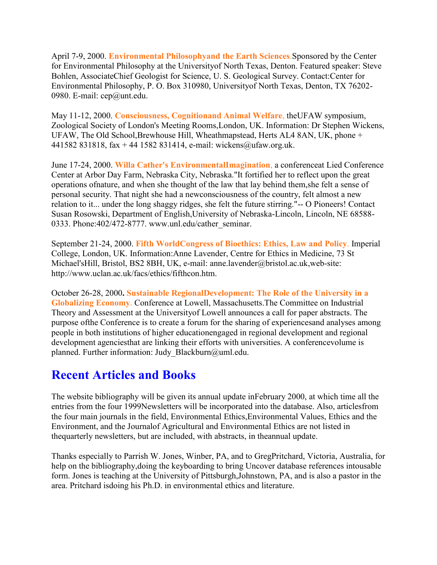April 7-9, 2000. **Environmental Philosophyand the Earth Sciences**.Sponsored by the Center for Environmental Philosophy at the Universityof North Texas, Denton. Featured speaker: Steve Bohlen, AssociateChief Geologist for Science, U. S. Geological Survey. Contact:Center for Environmental Philosophy, P. O. Box 310980, Universityof North Texas, Denton, TX 76202- 0980. E-mail: cep@unt.edu.

May 11-12, 2000. **Consciousness, Cognitionand Animal Welfare**, theUFAW symposium, Zoological Society of London's Meeting Rooms,London, UK. Information: Dr Stephen Wickens, UFAW, The Old School,Brewhouse Hill, Wheathmapstead, Herts AL4 8AN, UK, phone + 441582 831818, fax + 44 1582 831414, e-mail: wickens@ufaw.org.uk.

June 17-24, 2000. **Willa Cather's EnvironmentalImagination**, a conferenceat Lied Conference Center at Arbor Day Farm, Nebraska City, Nebraska."It fortified her to reflect upon the great operations ofnature, and when she thought of the law that lay behind them,she felt a sense of personal security. That night she had a newconsciousness of the country, felt almost a new relation to it... under the long shaggy ridges, she felt the future stirring."-- O Pioneers! Contact Susan Rosowski, Department of English,University of Nebraska-Lincoln, Lincoln, NE 68588- 0333. Phone:402/472-8777. www.unl.edu/cather\_seminar.

September 21-24, 2000. **Fifth WorldCongress of Bioethics: Ethics, Law and Policy**. Imperial College, London, UK. Information:Anne Lavender, Centre for Ethics in Medicine, 73 St Michael'sHill, Bristol, BS2 8BH, UK, e-mail: anne.lavender@bristol.ac.uk,web-site: http://www.uclan.ac.uk/facs/ethics/fifthcon.htm.

October 26-28, 2000**. Sustainable RegionalDevelopment: The Role of the University in a Globalizing Economy**. Conference at Lowell, Massachusetts.The Committee on Industrial Theory and Assessment at the Universityof Lowell announces a call for paper abstracts. The purpose ofthe Conference is to create a forum for the sharing of experiencesand analyses among people in both institutions of higher educationengaged in regional development and regional development agenciesthat are linking their efforts with universities. A conferencevolume is planned. Further information: Judy Blackburn@uml.edu.

### **Recent Articles and Books**

The website bibliography will be given its annual update inFebruary 2000, at which time all the entries from the four 1999Newsletters will be incorporated into the database. Also, articlesfrom the four main journals in the field, Environmental Ethics,Environmental Values, Ethics and the Environment, and the Journalof Agricultural and Environmental Ethics are not listed in thequarterly newsletters, but are included, with abstracts, in theannual update.

Thanks especially to Parrish W. Jones, Winber, PA, and to GregPritchard, Victoria, Australia, for help on the bibliography,doing the keyboarding to bring Uncover database references intousable form. Jones is teaching at the University of Pittsburgh,Johnstown, PA, and is also a pastor in the area. Pritchard isdoing his Ph.D. in environmental ethics and literature.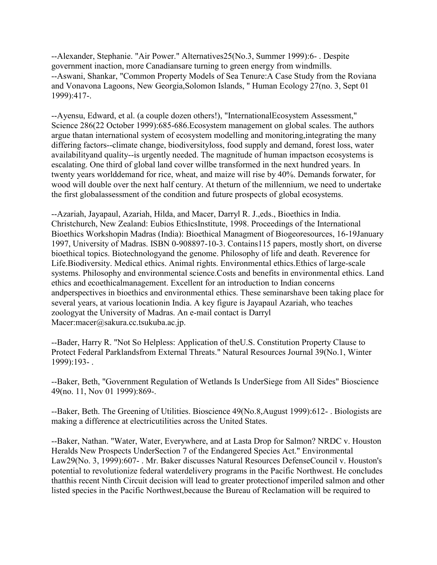--Alexander, Stephanie. "Air Power." Alternatives25(No.3, Summer 1999):6- . Despite government inaction, more Canadiansare turning to green energy from windmills. --Aswani, Shankar, "Common Property Models of Sea Tenure:A Case Study from the Roviana and Vonavona Lagoons, New Georgia,Solomon Islands, " Human Ecology 27(no. 3, Sept 01 1999):417-.

--Ayensu, Edward, et al. (a couple dozen others!), "InternationalEcosystem Assessment," Science 286(22 October 1999):685-686.Ecosystem management on global scales. The authors argue thatan international system of ecosystem modelling and monitoring,integrating the many differing factors--climate change, biodiversityloss, food supply and demand, forest loss, water availabilityand quality--is urgently needed. The magnitude of human impactson ecosystems is escalating. One third of global land cover willbe transformed in the next hundred years. In twenty years worlddemand for rice, wheat, and maize will rise by 40%. Demands forwater, for wood will double over the next half century. At theturn of the millennium, we need to undertake the first globalassessment of the condition and future prospects of global ecosystems.

--Azariah, Jayapaul, Azariah, Hilda, and Macer, Darryl R. J.,eds., Bioethics in India. Christchurch, New Zealand: Eubios EthicsInstitute, 1998. Proceedings of the International Bioethics Workshopin Madras (India): Bioethical Managment of Biogeoresources, 16-19January 1997, University of Madras. ISBN 0-908897-10-3. Contains115 papers, mostly short, on diverse bioethical topics. Biotechnologyand the genome. Philosophy of life and death. Reverence for Life.Biodiversity. Medical ethics. Animal rights. Environmental ethics.Ethics of large-scale systems. Philosophy and environmental science.Costs and benefits in environmental ethics. Land ethics and ecoethicalmanagement. Excellent for an introduction to Indian concerns andperspectives in bioethics and environmental ethics. These seminarshave been taking place for several years, at various locationin India. A key figure is Jayapaul Azariah, who teaches zoologyat the University of Madras. An e-mail contact is Darryl Macer:macer@sakura.cc.tsukuba.ac.jp.

--Bader, Harry R. "Not So Helpless: Application of theU.S. Constitution Property Clause to Protect Federal Parklandsfrom External Threats." Natural Resources Journal 39(No.1, Winter 1999):193- .

--Baker, Beth, "Government Regulation of Wetlands Is UnderSiege from All Sides" Bioscience 49(no. 11, Nov 01 1999):869-.

--Baker, Beth. The Greening of Utilities. Bioscience 49(No.8,August 1999):612- . Biologists are making a difference at electricutilities across the United States.

--Baker, Nathan. "Water, Water, Everywhere, and at Lasta Drop for Salmon? NRDC v. Houston Heralds New Prospects UnderSection 7 of the Endangered Species Act." Environmental Law29(No. 3, 1999):607- . Mr. Baker discusses Natural Resources DefenseCouncil v. Houston's potential to revolutionize federal waterdelivery programs in the Pacific Northwest. He concludes thatthis recent Ninth Circuit decision will lead to greater protectionof imperiled salmon and other listed species in the Pacific Northwest,because the Bureau of Reclamation will be required to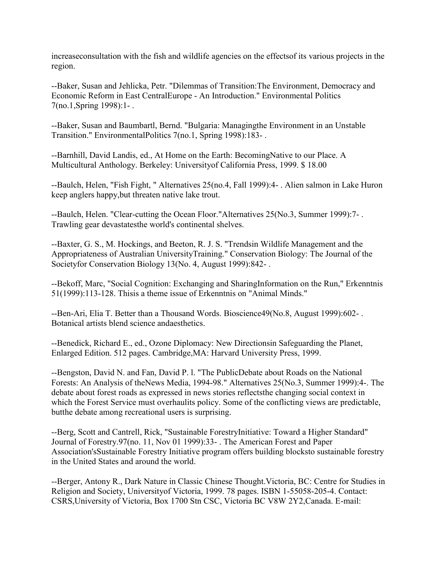increaseconsultation with the fish and wildlife agencies on the effectsof its various projects in the region.

--Baker, Susan and Jehlicka, Petr. "Dilemmas of Transition:The Environment, Democracy and Economic Reform in East CentralEurope - An Introduction." Environmental Politics 7(no.1,Spring 1998):1- .

--Baker, Susan and Baumbartl, Bernd. "Bulgaria: Managingthe Environment in an Unstable Transition." EnvironmentalPolitics 7(no.1, Spring 1998):183- .

--Barnhill, David Landis, ed., At Home on the Earth: BecomingNative to our Place. A Multicultural Anthology. Berkeley: Universityof California Press, 1999. \$ 18.00

--Baulch, Helen, "Fish Fight, " Alternatives 25(no.4, Fall 1999):4- . Alien salmon in Lake Huron keep anglers happy,but threaten native lake trout.

--Baulch, Helen. "Clear-cutting the Ocean Floor."Alternatives 25(No.3, Summer 1999):7- . Trawling gear devastatesthe world's continental shelves.

--Baxter, G. S., M. Hockings, and Beeton, R. J. S. "Trendsin Wildlife Management and the Appropriateness of Australian UniversityTraining." Conservation Biology: The Journal of the Societyfor Conservation Biology 13(No. 4, August 1999):842- .

--Bekoff, Marc, "Social Cognition: Exchanging and SharingInformation on the Run," Erkenntnis 51(1999):113-128. Thisis a theme issue of Erkenntnis on "Animal Minds."

--Ben-Ari, Elia T. Better than a Thousand Words. Bioscience49(No.8, August 1999):602- . Botanical artists blend science andaesthetics.

--Benedick, Richard E., ed., Ozone Diplomacy: New Directionsin Safeguarding the Planet, Enlarged Edition. 512 pages. Cambridge,MA: Harvard University Press, 1999.

--Bengston, David N. and Fan, David P. l. "The PublicDebate about Roads on the National Forests: An Analysis of theNews Media, 1994-98." Alternatives 25(No.3, Summer 1999):4-. The debate about forest roads as expressed in news stories reflectsthe changing social context in which the Forest Service must overhaulits policy. Some of the conflicting views are predictable, butthe debate among recreational users is surprising.

--Berg, Scott and Cantrell, Rick, "Sustainable ForestryInitiative: Toward a Higher Standard" Journal of Forestry.97(no. 11, Nov 01 1999):33- . The American Forest and Paper Association'sSustainable Forestry Initiative program offers building blocksto sustainable forestry in the United States and around the world.

--Berger, Antony R., Dark Nature in Classic Chinese Thought.Victoria, BC: Centre for Studies in Religion and Society, Universityof Victoria, 1999. 78 pages. ISBN 1-55058-205-4. Contact: CSRS,University of Victoria, Box 1700 Stn CSC, Victoria BC V8W 2Y2,Canada. E-mail: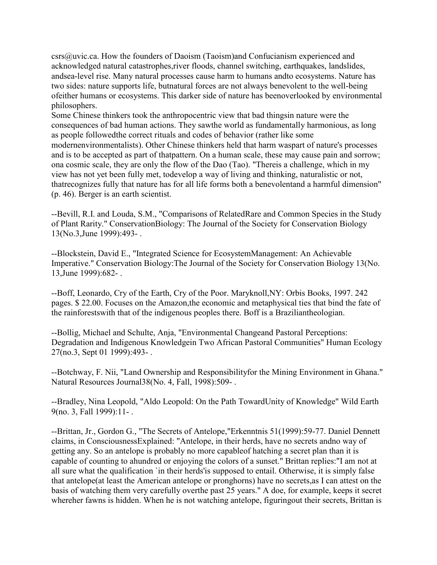csrs@uvic.ca. How the founders of Daoism (Taoism)and Confucianism experienced and acknowledged natural catastrophes,river floods, channel switching, earthquakes, landslides, andsea-level rise. Many natural processes cause harm to humans andto ecosystems. Nature has two sides: nature supports life, butnatural forces are not always benevolent to the well-being ofeither humans or ecosystems. This darker side of nature has beenoverlooked by environmental philosophers.

Some Chinese thinkers took the anthropocentric view that bad thingsin nature were the consequences of bad human actions. They sawthe world as fundamentally harmonious, as long as people followedthe correct rituals and codes of behavior (rather like some modernenvironmentalists). Other Chinese thinkers held that harm waspart of nature's processes and is to be accepted as part of thatpattern. On a human scale, these may cause pain and sorrow; ona cosmic scale, they are only the flow of the Dao (Tao). "Thereis a challenge, which in my view has not yet been fully met, todevelop a way of living and thinking, naturalistic or not, thatrecognizes fully that nature has for all life forms both a benevolentand a harmful dimension" (p. 46). Berger is an earth scientist.

--Bevill, R.I. and Louda, S.M., "Comparisons of RelatedRare and Common Species in the Study of Plant Rarity." ConservationBiology: The Journal of the Society for Conservation Biology 13(No.3,June 1999):493- .

--Blockstein, David E., "Integrated Science for EcosystemManagement: An Achievable Imperative." Conservation Biology:The Journal of the Society for Conservation Biology 13(No. 13,June 1999):682- .

--Boff, Leonardo, Cry of the Earth, Cry of the Poor. Maryknoll,NY: Orbis Books, 1997. 242 pages. \$ 22.00. Focuses on the Amazon,the economic and metaphysical ties that bind the fate of the rainforestswith that of the indigenous peoples there. Boff is a Braziliantheologian.

--Bollig, Michael and Schulte, Anja, "Environmental Changeand Pastoral Perceptions: Degradation and Indigenous Knowledgein Two African Pastoral Communities" Human Ecology 27(no.3, Sept 01 1999):493- .

--Botchway, F. Nii, "Land Ownership and Responsibilityfor the Mining Environment in Ghana." Natural Resources Journal38(No. 4, Fall, 1998):509- .

--Bradley, Nina Leopold, "Aldo Leopold: On the Path TowardUnity of Knowledge" Wild Earth 9(no. 3, Fall 1999):11- .

--Brittan, Jr., Gordon G., "The Secrets of Antelope,"Erkenntnis 51(1999):59-77. Daniel Dennett claims, in ConsciousnessExplained: "Antelope, in their herds, have no secrets andno way of getting any. So an antelope is probably no more capableof hatching a secret plan than it is capable of counting to ahundred or enjoying the colors of a sunset." Brittan replies:"I am not at all sure what the qualification `in their herds'is supposed to entail. Otherwise, it is simply false that antelope(at least the American antelope or pronghorns) have no secrets,as I can attest on the basis of watching them very carefully overthe past 25 years." A doe, for example, keeps it secret whereher fawns is hidden. When he is not watching antelope, figuringout their secrets, Brittan is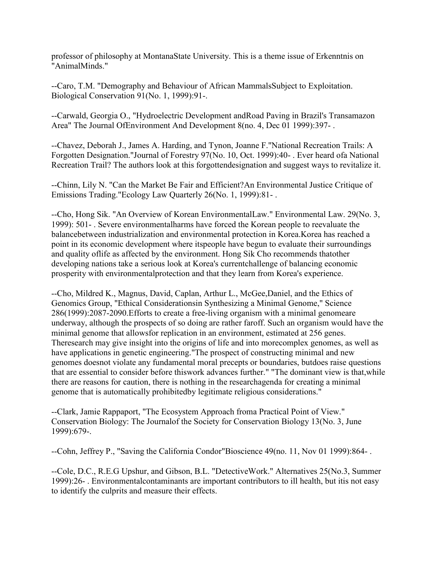professor of philosophy at MontanaState University. This is a theme issue of Erkenntnis on "AnimalMinds."

--Caro, T.M. "Demography and Behaviour of African MammalsSubject to Exploitation. Biological Conservation 91(No. 1, 1999):91-.

--Carwald, Georgia O., "Hydroelectric Development andRoad Paving in Brazil's Transamazon Area" The Journal OfEnvironment And Development 8(no. 4, Dec 01 1999):397- .

--Chavez, Deborah J., James A. Harding, and Tynon, Joanne F."National Recreation Trails: A Forgotten Designation."Journal of Forestry 97(No. 10, Oct. 1999):40- . Ever heard ofa National Recreation Trail? The authors look at this forgottendesignation and suggest ways to revitalize it.

--Chinn, Lily N. "Can the Market Be Fair and Efficient?An Environmental Justice Critique of Emissions Trading."Ecology Law Quarterly 26(No. 1, 1999):81- .

--Cho, Hong Sik. "An Overview of Korean EnvironmentalLaw." Environmental Law. 29(No. 3, 1999): 501- . Severe environmentalharms have forced the Korean people to reevaluate the balancebetween industrialization and environmental protection in Korea.Korea has reached a point in its economic development where itspeople have begun to evaluate their surroundings and quality oflife as affected by the environment. Hong Sik Cho recommends thatother developing nations take a serious look at Korea's currentchallenge of balancing economic prosperity with environmentalprotection and that they learn from Korea's experience.

--Cho, Mildred K., Magnus, David, Caplan, Arthur L., McGee,Daniel, and the Ethics of Genomics Group, "Ethical Considerationsin Synthesizing a Minimal Genome," Science 286(1999):2087-2090.Efforts to create a free-living organism with a minimal genomeare underway, although the prospects of so doing are rather faroff. Such an organism would have the minimal genome that allowsfor replication in an environment, estimated at 256 genes. Theresearch may give insight into the origins of life and into morecomplex genomes, as well as have applications in genetic engineering."The prospect of constructing minimal and new genomes doesnot violate any fundamental moral precepts or boundaries, butdoes raise questions that are essential to consider before thiswork advances further." "The dominant view is that,while there are reasons for caution, there is nothing in the researchagenda for creating a minimal genome that is automatically prohibitedby legitimate religious considerations."

--Clark, Jamie Rappaport, "The Ecosystem Approach froma Practical Point of View." Conservation Biology: The Journalof the Society for Conservation Biology 13(No. 3, June 1999):679-.

--Cohn, Jeffrey P., "Saving the California Condor"Bioscience 49(no. 11, Nov 01 1999):864- .

--Cole, D.C., R.E.G Upshur, and Gibson, B.L. "DetectiveWork." Alternatives 25(No.3, Summer 1999):26- . Environmentalcontaminants are important contributors to ill health, but itis not easy to identify the culprits and measure their effects.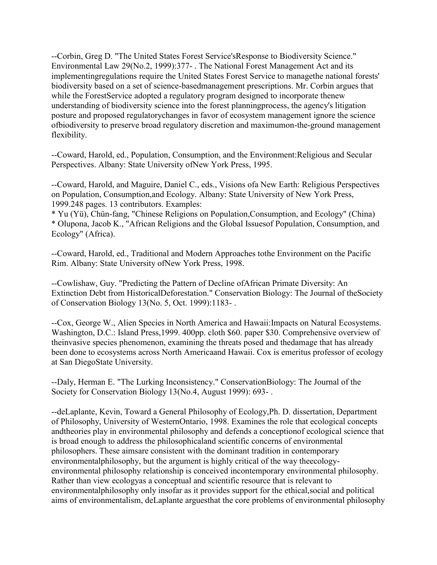--Corbin, Greg D. "The United States Forest Service'sResponse to Biodiversity Science." Environmental Law 29(No.2, 1999):377- . The National Forest Management Act and its implementingregulations require the United States Forest Service to managethe national forests' biodiversity based on a set of science-basedmanagement prescriptions. Mr. Corbin argues that while the ForestService adopted a regulatory program designed to incorporate thenew understanding of biodiversity science into the forest planningprocess, the agency's litigation posture and proposed regulatorychanges in favor of ecosystem management ignore the science ofbiodiversity to preserve broad regulatory discretion and maximumon-the-ground management flexibility.

--Coward, Harold, ed., Population, Consumption, and the Environment:Religious and Secular Perspectives. Albany: State University ofNew York Press, 1995.

--Coward, Harold, and Maguire, Daniel C., eds., Visions ofa New Earth: Religious Perspectives on Population, Consumption,and Ecology. Albany: State University of New York Press, 1999.248 pages. 13 contributors. Examples:

\* Yu (Yü), Chün-fang, "Chinese Religions on Population,Consumption, and Ecology" (China) \* Olupona, Jacob K., "African Religions and the Global Issuesof Population, Consumption, and Ecology" (Africa).

--Coward, Harold, ed., Traditional and Modern Approaches tothe Environment on the Pacific Rim. Albany: State University ofNew York Press, 1998.

--Cowlishaw, Guy. "Predicting the Pattern of Decline ofAfrican Primate Diversity: An Extinction Debt from HistoricalDeforestation." Conservation Biology: The Journal of theSociety of Conservation Biology 13(No. 5, Oct. 1999):1183- .

--Cox, George W., Alien Species in North America and Hawaii:Impacts on Natural Ecosystems. Washington, D.C.: Island Press,1999. 400pp. cloth \$60. paper \$30. Comprehensive overview of theinvasive species phenomenon, examining the threats posed and thedamage that has already been done to ecosystems across North Americaand Hawaii. Cox is emeritus professor of ecology at San DiegoState University.

--Daly, Herman E. "The Lurking Inconsistency." ConservationBiology: The Journal of the Society for Conservation Biology 13(No.4, August 1999): 693- .

--deLaplante, Kevin, Toward a General Philosophy of Ecology,Ph. D. dissertation, Department of Philosophy, University of WesternOntario, 1998. Examines the role that ecological concepts andtheories play in environmental philosophy and defends a conceptionof ecological science that is broad enough to address the philosophicaland scientific concerns of environmental philosophers. These aimsare consistent with the dominant tradition in contemporary environmentalphilosophy, but the argument is highly critical of the way theecologyenvironmental philosophy relationship is conceived incontemporary environmental philosophy. Rather than view ecologyas a conceptual and scientific resource that is relevant to environmentalphilosophy only insofar as it provides support for the ethical,social and political aims of environmentalism, deLaplante arguesthat the core problems of environmental philosophy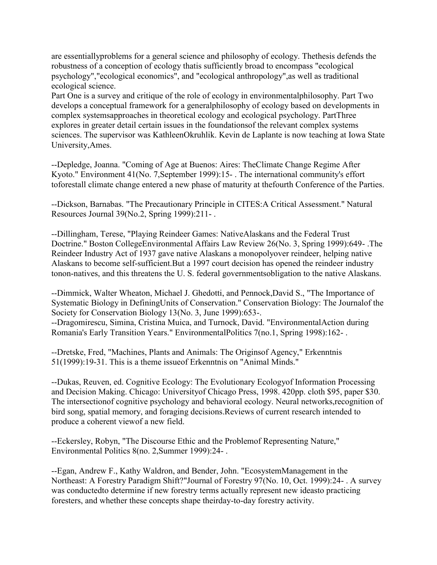are essentiallyproblems for a general science and philosophy of ecology. Thethesis defends the robustness of a conception of ecology thatis sufficiently broad to encompass "ecological psychology","ecological economics", and "ecological anthropology",as well as traditional ecological science.

Part One is a survey and critique of the role of ecology in environmentalphilosophy. Part Two develops a conceptual framework for a generalphilosophy of ecology based on developments in complex systemsapproaches in theoretical ecology and ecological psychology. PartThree explores in greater detail certain issues in the foundationsof the relevant complex systems sciences. The supervisor was KathleenOkruhlik. Kevin de Laplante is now teaching at Iowa State University,Ames.

--Depledge, Joanna. "Coming of Age at Buenos: Aires: TheClimate Change Regime After Kyoto." Environment 41(No. 7,September 1999):15- . The international community's effort toforestall climate change entered a new phase of maturity at thefourth Conference of the Parties.

--Dickson, Barnabas. "The Precautionary Principle in CITES:A Critical Assessment." Natural Resources Journal 39(No.2, Spring 1999):211- .

--Dillingham, Terese, "Playing Reindeer Games: NativeAlaskans and the Federal Trust Doctrine." Boston CollegeEnvironmental Affairs Law Review 26(No. 3, Spring 1999):649- .The Reindeer Industry Act of 1937 gave native Alaskans a monopolyover reindeer, helping native Alaskans to become self-sufficient.But a 1997 court decision has opened the reindeer industry tonon-natives, and this threatens the U. S. federal governmentsobligation to the native Alaskans.

--Dimmick, Walter Wheaton, Michael J. Ghedotti, and Pennock,David S., "The Importance of Systematic Biology in DefiningUnits of Conservation." Conservation Biology: The Journalof the Society for Conservation Biology 13(No. 3, June 1999):653-.

--Dragomirescu, Simina, Cristina Muica, and Turnock, David. "EnvironmentalAction during Romania's Early Transition Years." EnvironmentalPolitics 7(no.1, Spring 1998):162- .

--Dretske, Fred, "Machines, Plants and Animals: The Originsof Agency," Erkenntnis 51(1999):19-31. This is a theme issueof Erkenntnis on "Animal Minds."

--Dukas, Reuven, ed. Cognitive Ecology: The Evolutionary Ecologyof Information Processing and Decision Making. Chicago: Universityof Chicago Press, 1998. 420pp. cloth \$95, paper \$30. The intersectionof cognitive psychology and behavioral ecology. Neural networks,recognition of bird song, spatial memory, and foraging decisions.Reviews of current research intended to produce a coherent viewof a new field.

--Eckersley, Robyn, "The Discourse Ethic and the Problemof Representing Nature," Environmental Politics 8(no. 2,Summer 1999):24- .

--Egan, Andrew F., Kathy Waldron, and Bender, John. "EcosystemManagement in the Northeast: A Forestry Paradigm Shift?"Journal of Forestry 97(No. 10, Oct. 1999):24- . A survey was conductedto determine if new forestry terms actually represent new ideasto practicing foresters, and whether these concepts shape theirday-to-day forestry activity.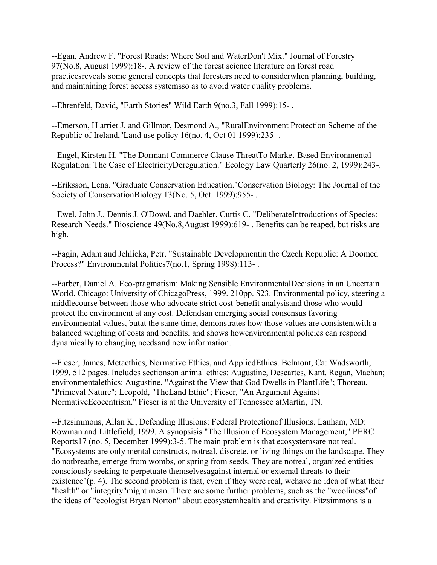--Egan, Andrew F. "Forest Roads: Where Soil and WaterDon't Mix." Journal of Forestry 97(No.8, August 1999):18-. A review of the forest science literature on forest road practicesreveals some general concepts that foresters need to considerwhen planning, building, and maintaining forest access systemsso as to avoid water quality problems.

--Ehrenfeld, David, "Earth Stories" Wild Earth 9(no.3, Fall 1999):15- .

--Emerson, H arriet J. and Gillmor, Desmond A., "RuralEnvironment Protection Scheme of the Republic of Ireland,"Land use policy 16(no. 4, Oct 01 1999):235- .

--Engel, Kirsten H. "The Dormant Commerce Clause ThreatTo Market-Based Environmental Regulation: The Case of ElectricityDeregulation." Ecology Law Quarterly 26(no. 2, 1999):243-.

--Eriksson, Lena. "Graduate Conservation Education."Conservation Biology: The Journal of the Society of ConservationBiology 13(No. 5, Oct. 1999):955- .

--Ewel, John J., Dennis J. O'Dowd, and Daehler, Curtis C. "DeliberateIntroductions of Species: Research Needs." Bioscience 49(No.8,August 1999):619- . Benefits can be reaped, but risks are high.

--Fagin, Adam and Jehlicka, Petr. "Sustainable Developmentin the Czech Republic: A Doomed Process?" Environmental Politics7(no.1, Spring 1998):113-.

--Farber, Daniel A. Eco-pragmatism: Making Sensible EnvironmentalDecisions in an Uncertain World. Chicago: University of ChicagoPress, 1999. 210pp. \$23. Environmental policy, steering a middlecourse between those who advocate strict cost-benefit analysisand those who would protect the environment at any cost. Defendsan emerging social consensus favoring environmental values, butat the same time, demonstrates how those values are consistentwith a balanced weighing of costs and benefits, and shows howenvironmental policies can respond dynamically to changing needsand new information.

--Fieser, James, Metaethics, Normative Ethics, and AppliedEthics. Belmont, Ca: Wadsworth, 1999. 512 pages. Includes sectionson animal ethics: Augustine, Descartes, Kant, Regan, Machan; environmentalethics: Augustine, "Against the View that God Dwells in PlantLife"; Thoreau, "Primeval Nature"; Leopold, "TheLand Ethic"; Fieser, "An Argument Against NormativeEcocentrism." Fieser is at the University of Tennessee atMartin, TN.

--Fitzsimmons, Allan K., Defending Illusions: Federal Protectionof Illusions. Lanham, MD: Rowman and Littlefield, 1999. A synopsisis "The Illusion of Ecosystem Management," PERC Reports17 (no. 5, December 1999):3-5. The main problem is that ecosystemsare not real. "Ecosystems are only mental constructs, notreal, discrete, or living things on the landscape. They do notbreathe, emerge from wombs, or spring from seeds. They are notreal, organized entities consciously seeking to perpetuate themselvesagainst internal or external threats to their existence"(p. 4). The second problem is that, even if they were real, wehave no idea of what their "health" or "integrity"might mean. There are some further problems, such as the "wooliness"of the ideas of "ecologist Bryan Norton" about ecosystemhealth and creativity. Fitzsimmons is a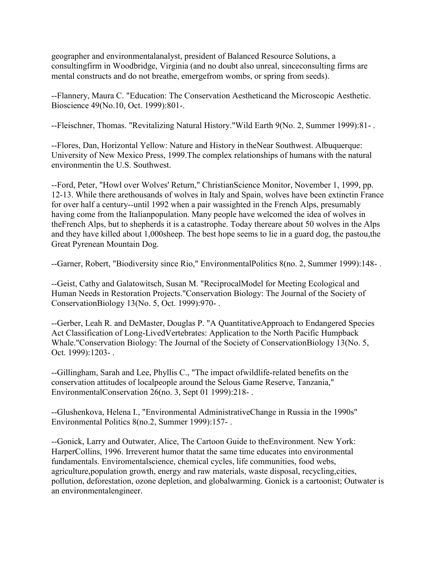geographer and environmentalanalyst, president of Balanced Resource Solutions, a consultingfirm in Woodbridge, Virginia (and no doubt also unreal, sinceconsulting firms are mental constructs and do not breathe, emergefrom wombs, or spring from seeds).

--Flannery, Maura C. "Education: The Conservation Aestheticand the Microscopic Aesthetic. Bioscience 49(No.10, Oct. 1999):801-.

--Fleischner, Thomas. "Revitalizing Natural History."Wild Earth 9(No. 2, Summer 1999):81- .

--Flores, Dan, Horizontal Yellow: Nature and History in theNear Southwest. Albuquerque: University of New Mexico Press, 1999.The complex relationships of humans with the natural environmentin the U.S. Southwest.

--Ford, Peter, "Howl over Wolves' Return," ChristianScience Monitor, November 1, 1999, pp. 12-13. While there arethousands of wolves in Italy and Spain, wolves have been extinctin France for over half a century--until 1992 when a pair wassighted in the French Alps, presumably having come from the Italianpopulation. Many people have welcomed the idea of wolves in theFrench Alps, but to shepherds it is a catastrophe. Today thereare about 50 wolves in the Alps and they have killed about 1,000sheep. The best hope seems to lie in a guard dog, the pastou,the Great Pyrenean Mountain Dog.

--Garner, Robert, "Biodiversity since Rio," EnvironmentalPolitics 8(no. 2, Summer 1999):148- .

--Geist, Cathy and Galatowitsch, Susan M. "ReciprocalModel for Meeting Ecological and Human Needs in Restoration Projects."Conservation Biology: The Journal of the Society of ConservationBiology 13(No. 5, Oct. 1999):970- .

--Gerber, Leah R. and DeMaster, Douglas P. "A QuantitativeApproach to Endangered Species Act Classification of Long-LivedVertebrates: Application to the North Pacific Humpback Whale."Conservation Biology: The Journal of the Society of ConservationBiology 13(No. 5, Oct. 1999):1203- .

--Gillingham, Sarah and Lee, Phyllis C., "The impact ofwildlife-related benefits on the conservation attitudes of localpeople around the Selous Game Reserve, Tanzania," EnvironmentalConservation 26(no. 3, Sept 01 1999):218- .

--Glushenkova, Helena I., "Environmental AdministrativeChange in Russia in the 1990s" Environmental Politics 8(no.2, Summer 1999):157- .

--Gonick, Larry and Outwater, Alice, The Cartoon Guide to theEnvironment. New York: HarperCollins, 1996. Irreverent humor thatat the same time educates into environmental fundamentals. Enviromentalscience, chemical cycles, life communities, food webs, agriculture,population growth, energy and raw materials, waste disposal, recycling,cities, pollution, deforestation, ozone depletion, and globalwarming. Gonick is a cartoonist; Outwater is an environmentalengineer.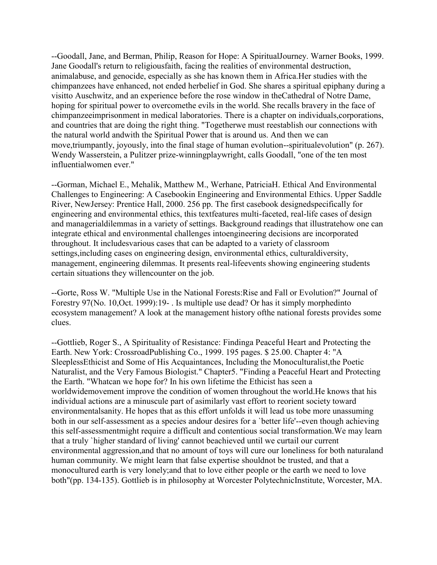--Goodall, Jane, and Berman, Philip, Reason for Hope: A SpiritualJourney. Warner Books, 1999. Jane Goodall's return to religiousfaith, facing the realities of environmental destruction, animalabuse, and genocide, especially as she has known them in Africa.Her studies with the chimpanzees have enhanced, not ended herbelief in God. She shares a spiritual epiphany during a visitto Auschwitz, and an experience before the rose window in theCathedral of Notre Dame, hoping for spiritual power to overcomethe evils in the world. She recalls bravery in the face of chimpanzeeimprisonment in medical laboratories. There is a chapter on individuals,corporations, and countries that are doing the right thing. "Togetherwe must reestablish our connections with the natural world andwith the Spiritual Power that is around us. And then we can move,triumpantly, joyously, into the final stage of human evolution--spiritualevolution" (p. 267). Wendy Wasserstein, a Pulitzer prize-winningplaywright, calls Goodall, "one of the ten most influentialwomen ever."

--Gorman, Michael E., Mehalik, Matthew M., Werhane, PatriciaH. Ethical And Environmental Challenges to Engineering: A Casebookin Engineering and Environmental Ethics. Upper Saddle River, NewJersey: Prentice Hall, 2000. 256 pp. The first casebook designedspecifically for engineering and environmental ethics, this textfeatures multi-faceted, real-life cases of design and managerialdilemmas in a variety of settings. Background readings that illustratehow one can integrate ethical and environmental challenges intoengineering decisions are incorporated throughout. It includesvarious cases that can be adapted to a variety of classroom settings,including cases on engineering design, environmental ethics, culturaldiversity, management, engineering dilemmas. It presents real-lifeevents showing engineering students certain situations they willencounter on the job.

--Gorte, Ross W. "Multiple Use in the National Forests:Rise and Fall or Evolution?" Journal of Forestry 97(No. 10,Oct. 1999):19- . Is multiple use dead? Or has it simply morphedinto ecosystem management? A look at the management history ofthe national forests provides some clues.

--Gottlieb, Roger S., A Spirituality of Resistance: Findinga Peaceful Heart and Protecting the Earth. New York: CrossroadPublishing Co., 1999. 195 pages. \$ 25.00. Chapter 4: "A SleeplessEthicist and Some of His Acquaintances, Including the Monoculturalist,the Poetic Naturalist, and the Very Famous Biologist." Chapter5. "Finding a Peaceful Heart and Protecting the Earth. "Whatcan we hope for? In his own lifetime the Ethicist has seen a worldwidemovement improve the condition of women throughout the world.He knows that his individual actions are a minuscule part of asimilarly vast effort to reorient society toward environmentalsanity. He hopes that as this effort unfolds it will lead us tobe more unassuming both in our self-assessment as a species andour desires for a `better life'--even though achieving this self-assessmentmight require a difficult and contentious social transformation.We may learn that a truly `higher standard of living' cannot beachieved until we curtail our current environmental aggression,and that no amount of toys will cure our loneliness for both naturaland human community. We might learn that false expertise shouldnot be trusted, and that a monocultured earth is very lonely;and that to love either people or the earth we need to love both"(pp. 134-135). Gottlieb is in philosophy at Worcester PolytechnicInstitute, Worcester, MA.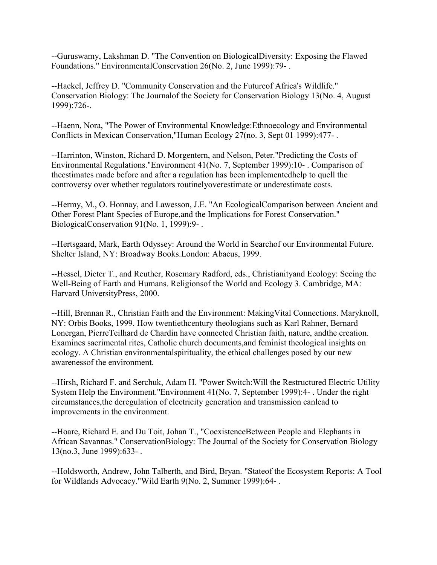--Guruswamy, Lakshman D. "The Convention on BiologicalDiversity: Exposing the Flawed Foundations." EnvironmentalConservation 26(No. 2, June 1999):79- .

--Hackel, Jeffrey D. "Community Conservation and the Futureof Africa's Wildlife." Conservation Biology: The Journalof the Society for Conservation Biology 13(No. 4, August 1999):726-.

--Haenn, Nora, "The Power of Environmental Knowledge:Ethnoecology and Environmental Conflicts in Mexican Conservation,"Human Ecology 27(no. 3, Sept 01 1999):477- .

--Harrinton, Winston, Richard D. Morgentern, and Nelson, Peter."Predicting the Costs of Environmental Regulations."Environment 41(No. 7, September 1999):10- . Comparison of theestimates made before and after a regulation has been implementedhelp to quell the controversy over whether regulators routinelyoverestimate or underestimate costs.

--Hermy, M., O. Honnay, and Lawesson, J.E. "An EcologicalComparison between Ancient and Other Forest Plant Species of Europe,and the Implications for Forest Conservation." BiologicalConservation 91(No. 1, 1999):9- .

--Hertsgaard, Mark, Earth Odyssey: Around the World in Searchof our Environmental Future. Shelter Island, NY: Broadway Books.London: Abacus, 1999.

--Hessel, Dieter T., and Reuther, Rosemary Radford, eds., Christianityand Ecology: Seeing the Well-Being of Earth and Humans. Religionsof the World and Ecology 3. Cambridge, MA: Harvard UniversityPress, 2000.

--Hill, Brennan R., Christian Faith and the Environment: MakingVital Connections. Maryknoll, NY: Orbis Books, 1999. How twentiethcentury theologians such as Karl Rahner, Bernard Lonergan, PierreTeilhard de Chardin have connected Christian faith, nature, andthe creation. Examines sacrimental rites, Catholic church documents,and feminist theological insights on ecology. A Christian environmentalspirituality, the ethical challenges posed by our new awarenessof the environment.

--Hirsh, Richard F. and Serchuk, Adam H. "Power Switch:Will the Restructured Electric Utility System Help the Environment."Environment 41(No. 7, September 1999):4- . Under the right circumstances,the deregulation of electricity generation and transmission canlead to improvements in the environment.

--Hoare, Richard E. and Du Toit, Johan T., "CoexistenceBetween People and Elephants in African Savannas." ConservationBiology: The Journal of the Society for Conservation Biology 13(no.3, June 1999):633- .

--Holdsworth, Andrew, John Talberth, and Bird, Bryan. "Stateof the Ecosystem Reports: A Tool for Wildlands Advocacy."Wild Earth 9(No. 2, Summer 1999):64- .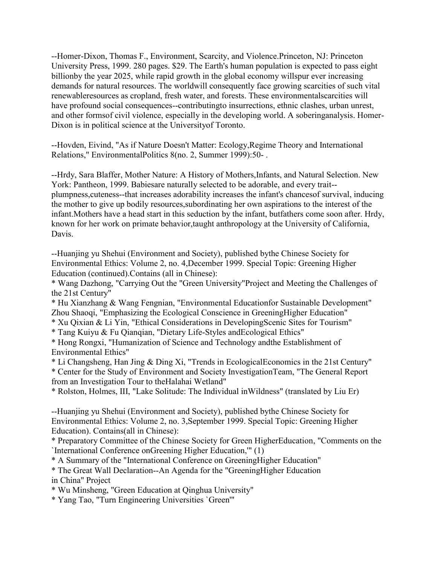--Homer-Dixon, Thomas F., Environment, Scarcity, and Violence.Princeton, NJ: Princeton University Press, 1999. 280 pages. \$29. The Earth's human population is expected to pass eight billionby the year 2025, while rapid growth in the global economy willspur ever increasing demands for natural resources. The worldwill consequently face growing scarcities of such vital renewableresources as cropland, fresh water, and forests. These environmentalscarcities will have profound social consequences--contributingto insurrections, ethnic clashes, urban unrest, and other formsof civil violence, especially in the developing world. A soberinganalysis. Homer-Dixon is in political science at the Universityof Toronto.

--Hovden, Eivind, "As if Nature Doesn't Matter: Ecology,Regime Theory and International Relations," EnvironmentalPolitics 8(no. 2, Summer 1999):50- .

--Hrdy, Sara Blaffer, Mother Nature: A History of Mothers,Infants, and Natural Selection. New York: Pantheon, 1999. Babiesare naturally selected to be adorable, and every trait- plumpness,cuteness--that increases adorability increases the infant's chancesof survival, inducing the mother to give up bodily resources,subordinating her own aspirations to the interest of the infant.Mothers have a head start in this seduction by the infant, butfathers come soon after. Hrdy, known for her work on primate behavior,taught anthropology at the University of California, Davis.

--Huanjing yu Shehui (Environment and Society), published bythe Chinese Society for Environmental Ethics: Volume 2, no. 4,December 1999. Special Topic: Greening Higher Education (continued).Contains (all in Chinese):

\* Wang Dazhong, "Carrying Out the "Green University"Project and Meeting the Challenges of the 21st Century"

\* Hu Xianzhang & Wang Fengnian, "Environmental Educationfor Sustainable Development" Zhou Shaoqi, "Emphasizing the Ecological Conscience in GreeningHigher Education"

\* Xu Qixian & Li Yin, "Ethical Considerations in DevelopingScenic Sites for Tourism"

\* Tang Kuiyu & Fu Qianqian, "Dietary Life-Styles andEcological Ethics"

\* Hong Rongxi, "Humanization of Science and Technology andthe Establishment of Environmental Ethics"

\* Li Changsheng, Han Jing & Ding Xi, "Trends in EcologicalEconomics in the 21st Century" \* Center for the Study of Environment and Society InvestigationTeam, "The General Report from an Investigation Tour to theHalahai Wetland"

\* Rolston, Holmes, III, "Lake Solitude: The Individual inWildness" (translated by Liu Er)

--Huanjing yu Shehui (Environment and Society), published bythe Chinese Society for Environmental Ethics: Volume 2, no. 3,September 1999. Special Topic: Greening Higher Education). Contains(all in Chinese):

\* Preparatory Committee of the Chinese Society for Green HigherEducation, "Comments on the `International Conference onGreening Higher Education,'" (1)

\* A Summary of the "International Conference on GreeningHigher Education"

\* The Great Wall Declaration--An Agenda for the "GreeningHigher Education in China" Project

\* Wu Minsheng, "Green Education at Qinghua University"

\* Yang Tao, "Turn Engineering Universities `Green'"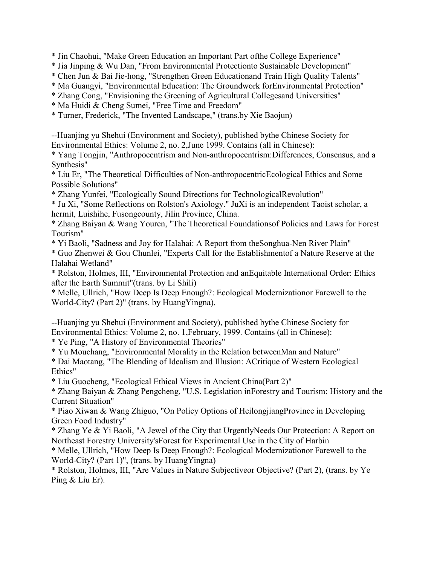\* Jin Chaohui, "Make Green Education an Important Part ofthe College Experience"

- \* Jia Jinping & Wu Dan, "From Environmental Protectionto Sustainable Development"
- \* Chen Jun & Bai Jie-hong, "Strengthen Green Educationand Train High Quality Talents"
- \* Ma Guangyi, "Environmental Education: The Groundwork forEnvironmental Protection"
- \* Zhang Cong, "Envisioning the Greening of Agricultural Collegesand Universities"
- \* Ma Huidi & Cheng Sumei, "Free Time and Freedom"
- \* Turner, Frederick, "The Invented Landscape," (trans.by Xie Baojun)

--Huanjing yu Shehui (Environment and Society), published bythe Chinese Society for Environmental Ethics: Volume 2, no. 2,June 1999. Contains (all in Chinese):

\* Yang Tongjin, "Anthropocentrism and Non-anthropocentrism:Differences, Consensus, and a Synthesis"

\* Liu Er, "The Theoretical Difficulties of Non-anthropocentricEcological Ethics and Some Possible Solutions"

\* Zhang Yunfei, "Ecologically Sound Directions for TechnologicalRevolution"

\* Ju Xi, "Some Reflections on Rolston's Axiology." JuXi is an independent Taoist scholar, a hermit, Luishihe, Fusongcounty, Jilin Province, China.

\* Zhang Baiyan & Wang Youren, "The Theoretical Foundationsof Policies and Laws for Forest Tourism"

\* Yi Baoli, "Sadness and Joy for Halahai: A Report from theSonghua-Nen River Plain"

\* Guo Zhenwei & Gou Chunlei, "Experts Call for the Establishmentof a Nature Reserve at the Halahai Wetland"

\* Rolston, Holmes, III, "Environmental Protection and anEquitable International Order: Ethics after the Earth Summit"(trans. by Li Shili)

\* Melle, Ullrich, "How Deep Is Deep Enough?: Ecological Modernizationor Farewell to the World-City? (Part 2)" (trans. by HuangYingna).

--Huanjing yu Shehui (Environment and Society), published bythe Chinese Society for Environmental Ethics: Volume 2, no. 1,February, 1999. Contains (all in Chinese):

\* Ye Ping, "A History of Environmental Theories"

\* Yu Mouchang, "Environmental Morality in the Relation betweenMan and Nature"

\* Dai Maotang, "The Blending of Idealism and Illusion: ACritique of Western Ecological Ethics"

\* Liu Guocheng, "Ecological Ethical Views in Ancient China(Part 2)"

\* Zhang Baiyan & Zhang Pengcheng, "U.S. Legislation inForestry and Tourism: History and the Current Situation"

\* Piao Xiwan & Wang Zhiguo, "On Policy Options of HeilongjiangProvince in Developing Green Food Industry"

\* Zhang Ye & Yi Baoli, "A Jewel of the City that UrgentlyNeeds Our Protection: A Report on Northeast Forestry University'sForest for Experimental Use in the City of Harbin

\* Melle, Ullrich, "How Deep Is Deep Enough?: Ecological Modernizationor Farewell to the World-City? (Part 1)", (trans. by HuangYingna)

\* Rolston, Holmes, III, "Are Values in Nature Subjectiveor Objective? (Part 2), (trans. by Ye Ping & Liu Er).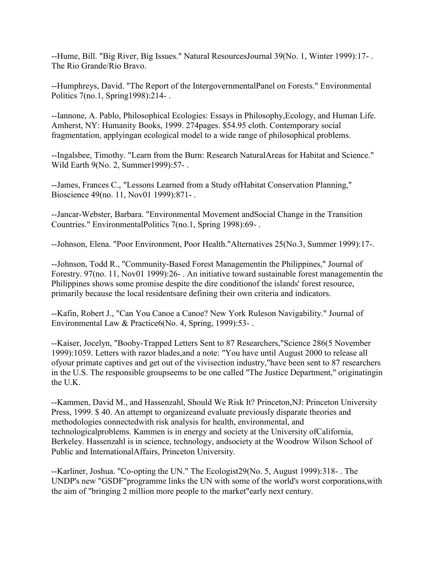--Hume, Bill. "Big River, Big Issues." Natural ResourcesJournal 39(No. 1, Winter 1999):17- . The Rio Grande/Rio Bravo.

--Humphreys, David. "The Report of the IntergovernmentalPanel on Forests." Environmental Politics 7(no.1, Spring1998):214- .

--Iannone, A. Pablo, Philosophical Ecologies: Essays in Philosophy,Ecology, and Human Life. Amherst, NY: Humanity Books, 1999. 274pages. \$54.95 cloth. Contemporary social fragmentation, applyingan ecological model to a wide range of philosophical problems.

--Ingalsbee, Timothy. "Learn from the Burn: Research NaturalAreas for Habitat and Science." Wild Earth 9(No. 2, Summer1999):57- .

--James, Frances C., "Lessons Learned from a Study ofHabitat Conservation Planning," Bioscience 49(no. 11, Nov01 1999):871- .

--Jancar-Webster, Barbara. "Environmental Movement andSocial Change in the Transition Countries." EnvironmentalPolitics 7(no.1, Spring 1998):69- .

--Johnson, Elena. "Poor Environment, Poor Health."Alternatives 25(No.3, Summer 1999):17-.

--Johnson, Todd R., "Community-Based Forest Managementin the Philippines," Journal of Forestry. 97(no. 11, Nov01 1999):26- . An initiative toward sustainable forest managementin the Philippines shows some promise despite the dire conditionof the islands' forest resource, primarily because the local residentsare defining their own criteria and indicators.

--Kafin, Robert J., "Can You Canoe a Canoe? New York Ruleson Navigability." Journal of Environmental Law & Practice6(No. 4, Spring, 1999):53-.

--Kaiser, Jocelyn, "Booby-Trapped Letters Sent to 87 Researchers,"Science 286(5 November 1999):1059. Letters with razor blades,and a note: "You have until August 2000 to release all ofyour primate captives and get out of the vivisection industry,"have been sent to 87 researchers in the U.S. The responsible groupseems to be one called "The Justice Department," originatingin the U.K.

--Kammen, David M., and Hassenzahl, Should We Risk It? Princeton,NJ: Princeton University Press, 1999. \$ 40. An attempt to organizeand evaluate previously disparate theories and methodologies connectedwith risk analysis for health, environmental, and technologicalproblems. Kammen is in energy and society at the University ofCalifornia, Berkeley. Hassenzahl is in science, technology, andsociety at the Woodrow Wilson School of Public and InternationalAffairs, Princeton University.

--Karliner, Joshua. "Co-opting the UN." The Ecologist29(No. 5, August 1999):318- . The UNDP's new "GSDF"programme links the UN with some of the world's worst corporations,with the aim of "bringing 2 million more people to the market"early next century.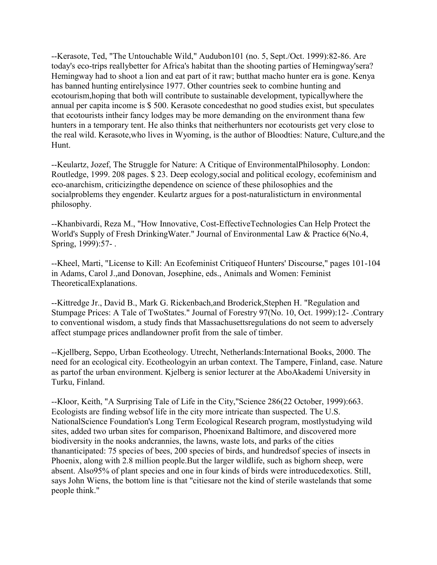--Kerasote, Ted, "The Untouchable Wild," Audubon101 (no. 5, Sept./Oct. 1999):82-86. Are today's eco-trips reallybetter for Africa's habitat than the shooting parties of Hemingway'sera? Hemingway had to shoot a lion and eat part of it raw; butthat macho hunter era is gone. Kenya has banned hunting entirelysince 1977. Other countries seek to combine hunting and ecotourism,hoping that both will contribute to sustainable development, typicallywhere the annual per capita income is \$ 500. Kerasote concedesthat no good studies exist, but speculates that ecotourists intheir fancy lodges may be more demanding on the environment thana few hunters in a temporary tent. He also thinks that neitherhunters nor ecotourists get very close to the real wild. Kerasote,who lives in Wyoming, is the author of Bloodties: Nature, Culture,and the Hunt.

--Keulartz, Jozef, The Struggle for Nature: A Critique of EnvironmentalPhilosophy. London: Routledge, 1999. 208 pages. \$ 23. Deep ecology,social and political ecology, ecofeminism and eco-anarchism, criticizingthe dependence on science of these philosophies and the socialproblems they engender. Keulartz argues for a post-naturalisticturn in environmental philosophy.

--Khanbivardi, Reza M., "How Innovative, Cost-EffectiveTechnologies Can Help Protect the World's Supply of Fresh DrinkingWater." Journal of Environmental Law & Practice 6(No.4, Spring, 1999):57- .

--Kheel, Marti, "License to Kill: An Ecofeminist Critiqueof Hunters' Discourse," pages 101-104 in Adams, Carol J.,and Donovan, Josephine, eds., Animals and Women: Feminist TheoreticalExplanations.

--Kittredge Jr., David B., Mark G. Rickenbach,and Broderick,Stephen H. "Regulation and Stumpage Prices: A Tale of TwoStates." Journal of Forestry 97(No. 10, Oct. 1999):12- .Contrary to conventional wisdom, a study finds that Massachusettsregulations do not seem to adversely affect stumpage prices andlandowner profit from the sale of timber.

--Kjellberg, Seppo, Urban Ecotheology. Utrecht, Netherlands:International Books, 2000. The need for an ecological city. Ecotheologyin an urban context. The Tampere, Finland, case. Nature as partof the urban environment. Kjelberg is senior lecturer at the AboAkademi University in Turku, Finland.

--Kloor, Keith, "A Surprising Tale of Life in the City,"Science 286(22 October, 1999):663. Ecologists are finding websof life in the city more intricate than suspected. The U.S. NationalScience Foundation's Long Term Ecological Research program, mostlystudying wild sites, added two urban sites for comparison, Phoenixand Baltimore, and discovered more biodiversity in the nooks andcrannies, the lawns, waste lots, and parks of the cities thananticipated: 75 species of bees, 200 species of birds, and hundredsof species of insects in Phoenix, along with 2.8 million people.But the larger wildlife, such as bighorn sheep, were absent. Also95% of plant species and one in four kinds of birds were introducedexotics. Still, says John Wiens, the bottom line is that "citiesare not the kind of sterile wastelands that some people think."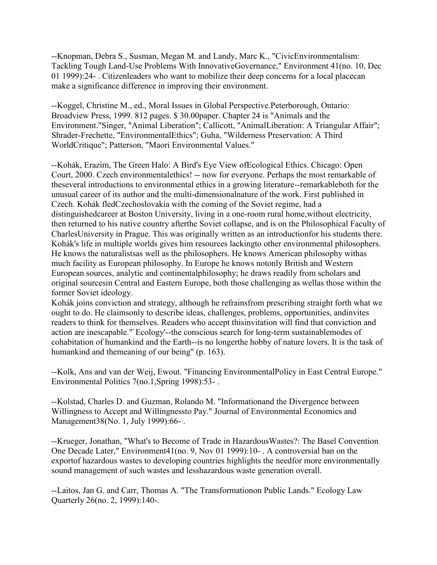--Knopman, Debra S., Susman, Megan M. and Landy, Marc K., "CivicEnvironmentalism: Tackling Tough Land-Use Problems With InnovativeGovernance," Environment 41(no. 10, Dec 01 1999):24- . Citizenleaders who want to mobilize their deep concerns for a local placecan make a significance difference in improving their environment.

--Koggel, Christine M., ed., Moral Issues in Global Perspective.Peterborough, Ontario: Broadview Press, 1999. 812 pages. \$ 30.00paper. Chapter 24 is "Animals and the Environment."Singer, "Animal Liberation"; Callicott, "AnimalLiberation: A Triangular Affair"; Shrader-Frechette, "EnvironmentalEthics"; Guha, "Wilderness Preservation: A Third WorldCritique"; Patterson, "Maori Environmental Values."

--Kohák, Erazim, The Green Halo: A Bird's Eye View ofEcological Ethics. Chicago: Open Court, 2000. Czech environmentalethics! -- now for everyone. Perhaps the most remarkable of theseveral introductions to environmental ethics in a growing literature--remarkableboth for the unusual career of its author and the multi-dimensionalnature of the work. First published in Czech. Kohák fledCzechoslovakia with the coming of the Soviet regime, had a distinguishedcareer at Boston University, living in a one-room rural home,without electricity, then returned to his native country afterthe Soviet collapse, and is on the Philosophical Faculty of CharlesUniversity in Prague. This was originally written as an introductionfor his students there. Kohák's life in multiple worlds gives him resources lackingto other environmental philosophers. He knows the naturalistsas well as the philosophers. He knows American philosophy withas much facility as European philosophy. In Europe he knows notonly British and Western European sources, analytic and continentalphilosophy; he draws readily from scholars and original sourcesin Central and Eastern Europe, both those challenging as wellas those within the former Soviet ideology.

Kohák joins conviction and strategy, although he refrainsfrom prescribing straight forth what we ought to do. He claimsonly to describe ideas, challenges, problems, opportunities, andinvites readers to think for themselves. Readers who accept thisinvitation will find that conviction and action are inescapable."`Ecology'--the conscious search for long-term sustainablemodes of cohabitation of humankind and the Earth--is no longerthe hobby of nature lovers. It is the task of humankind and themeaning of our being" (p. 163).

--Kolk, Ans and van der Weij, Ewout. "Financing EnvironmentalPolicy in East Central Europe." Environmental Politics 7(no.1,Spring 1998):53- .

--Kolstad, Charles D. and Guzman, Rolando M. "Informationand the Divergence between Willingness to Accept and Willingnessto Pay." Journal of Environmental Economics and Management38(No. 1, July 1999):66- .

--Krueger, Jonathan, "What's to Become of Trade in HazardousWastes?: The Basel Convention One Decade Later," Environment41(no. 9, Nov 01 1999):10- . A controversial ban on the exportof hazardous wastes to developing countries highlights the needfor more environmentally sound management of such wastes and lesshazardous waste generation overall.

--Laitos, Jan G. and Carr, Thomas A. "The Transformationon Public Lands." Ecology Law Quarterly 26(no. 2, 1999):140-.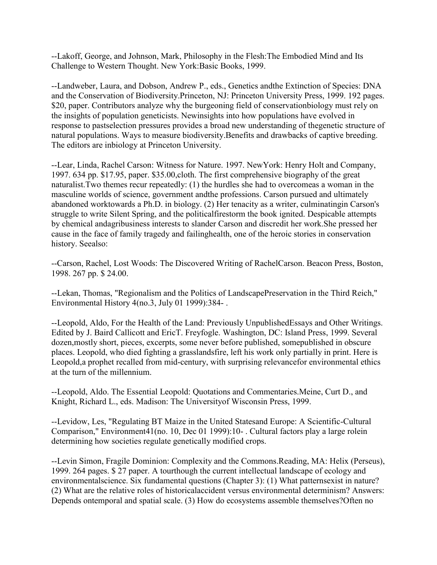--Lakoff, George, and Johnson, Mark, Philosophy in the Flesh:The Embodied Mind and Its Challenge to Western Thought. New York:Basic Books, 1999.

--Landweber, Laura, and Dobson, Andrew P., eds., Genetics andthe Extinction of Species: DNA and the Conservation of Biodiversity.Princeton, NJ: Princeton University Press, 1999. 192 pages. \$20, paper. Contributors analyze why the burgeoning field of conservationbiology must rely on the insights of population geneticists. Newinsights into how populations have evolved in response to pastselection pressures provides a broad new understanding of thegenetic structure of natural populations. Ways to measure biodiversity.Benefits and drawbacks of captive breeding. The editors are inbiology at Princeton University.

--Lear, Linda, Rachel Carson: Witness for Nature. 1997. NewYork: Henry Holt and Company, 1997. 634 pp. \$17.95, paper. \$35.00,cloth. The first comprehensive biography of the great naturalist.Two themes recur repeatedly: (1) the hurdles she had to overcomeas a woman in the masculine worlds of science, government andthe professions. Carson pursued and ultimately abandoned worktowards a Ph.D. in biology. (2) Her tenacity as a writer, culminatingin Carson's struggle to write Silent Spring, and the politicalfirestorm the book ignited. Despicable attempts by chemical andagribusiness interests to slander Carson and discredit her work.She pressed her cause in the face of family tragedy and failinghealth, one of the heroic stories in conservation history. Seealso:

--Carson, Rachel, Lost Woods: The Discovered Writing of RachelCarson. Beacon Press, Boston, 1998. 267 pp. \$ 24.00.

--Lekan, Thomas, "Regionalism and the Politics of LandscapePreservation in the Third Reich," Environmental History 4(no.3, July 01 1999):384- .

--Leopold, Aldo, For the Health of the Land: Previously UnpublishedEssays and Other Writings. Edited by J. Baird Callicott and EricT. Freyfogle. Washington, DC: Island Press, 1999. Several dozen,mostly short, pieces, excerpts, some never before published, somepublished in obscure places. Leopold, who died fighting a grasslandsfire, left his work only partially in print. Here is Leopold,a prophet recalled from mid-century, with surprising relevancefor environmental ethics at the turn of the millennium.

--Leopold, Aldo. The Essential Leopold: Quotations and Commentaries.Meine, Curt D., and Knight, Richard L., eds. Madison: The Universityof Wisconsin Press, 1999.

--Levidow, Les, "Regulating BT Maize in the United Statesand Europe: A Scientific-Cultural Comparison," Environment41(no. 10, Dec 01 1999):10- . Cultural factors play a large rolein determining how societies regulate genetically modified crops.

--Levin Simon, Fragile Dominion: Complexity and the Commons.Reading, MA: Helix (Perseus), 1999. 264 pages. \$ 27 paper. A tourthough the current intellectual landscape of ecology and environmentalscience. Six fundamental questions (Chapter 3): (1) What patternsexist in nature? (2) What are the relative roles of historicalaccident versus environmental determinism? Answers: Depends ontemporal and spatial scale. (3) How do ecosystems assemble themselves?Often no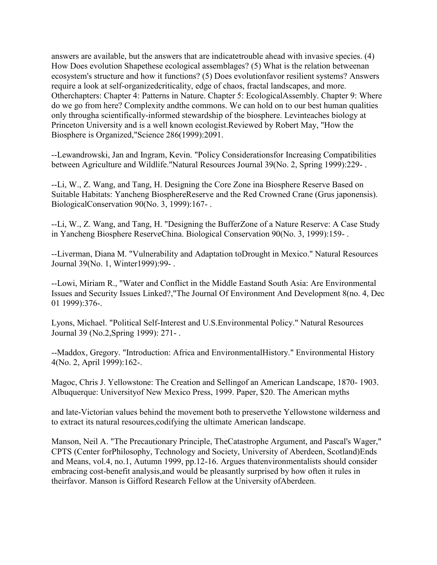answers are available, but the answers that are indicatetrouble ahead with invasive species. (4) How Does evolution Shapethese ecological assemblages? (5) What is the relation betweenan ecosystem's structure and how it functions? (5) Does evolutionfavor resilient systems? Answers require a look at self-organizedcriticality, edge of chaos, fractal landscapes, and more. Otherchapters: Chapter 4: Patterns in Nature. Chapter 5: EcologicalAssembly. Chapter 9: Where do we go from here? Complexity andthe commons. We can hold on to our best human qualities only througha scientifically-informed stewardship of the biosphere. Levinteaches biology at Princeton University and is a well known ecologist.Reviewed by Robert May, "How the Biosphere is Organized,"Science 286(1999):2091.

--Lewandrowski, Jan and Ingram, Kevin. "Policy Considerationsfor Increasing Compatibilities between Agriculture and Wildlife."Natural Resources Journal 39(No. 2, Spring 1999):229- .

--Li, W., Z. Wang, and Tang, H. Designing the Core Zone ina Biosphere Reserve Based on Suitable Habitats: Yancheng BiosphereReserve and the Red Crowned Crane (Grus japonensis). BiologicalConservation 90(No. 3, 1999):167- .

--Li, W., Z. Wang, and Tang, H. "Designing the BufferZone of a Nature Reserve: A Case Study in Yancheng Biosphere ReserveChina. Biological Conservation 90(No. 3, 1999):159- .

--Liverman, Diana M. "Vulnerability and Adaptation toDrought in Mexico." Natural Resources Journal 39(No. 1, Winter1999):99- .

--Lowi, Miriam R., "Water and Conflict in the Middle Eastand South Asia: Are Environmental Issues and Security Issues Linked?,"The Journal Of Environment And Development 8(no. 4, Dec 01 1999):376-.

Lyons, Michael. "Political Self-Interest and U.S.Environmental Policy." Natural Resources Journal 39 (No.2,Spring 1999): 271- .

--Maddox, Gregory. "Introduction: Africa and EnvironmentalHistory." Environmental History 4(No. 2, April 1999):162-.

Magoc, Chris J. Yellowstone: The Creation and Sellingof an American Landscape, 1870- 1903. Albuquerque: Universityof New Mexico Press, 1999. Paper, \$20. The American myths

and late-Victorian values behind the movement both to preservethe Yellowstone wilderness and to extract its natural resources,codifying the ultimate American landscape.

Manson, Neil A. "The Precautionary Principle, TheCatastrophe Argument, and Pascal's Wager," CPTS (Center forPhilosophy, Technology and Society, University of Aberdeen, Scotland)Ends and Means, vol.4, no.1, Autumn 1999, pp.12-16. Argues thatenvironmentalists should consider embracing cost-benefit analysis,and would be pleasantly surprised by how often it rules in theirfavor. Manson is Gifford Research Fellow at the University ofAberdeen.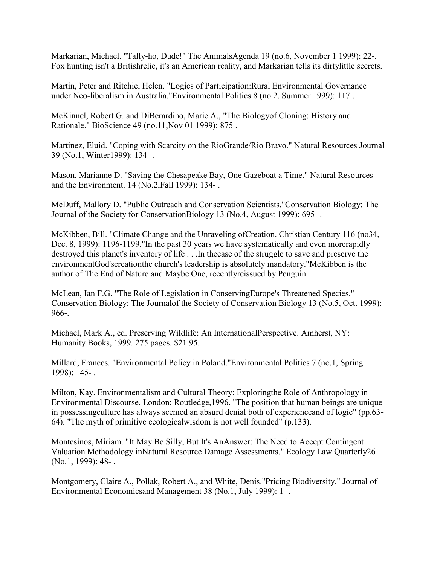Markarian, Michael. "Tally-ho, Dude!" The AnimalsAgenda 19 (no.6, November 1 1999): 22-. Fox hunting isn't a Britishrelic, it's an American reality, and Markarian tells its dirtylittle secrets.

Martin, Peter and Ritchie, Helen. "Logics of Participation:Rural Environmental Governance under Neo-liberalism in Australia."Environmental Politics 8 (no.2, Summer 1999): 117 .

McKinnel, Robert G. and DiBerardino, Marie A., "The Biologyof Cloning: History and Rationale." BioScience 49 (no.11,Nov 01 1999): 875 .

Martinez, Eluid. "Coping with Scarcity on the RioGrande/Rio Bravo." Natural Resources Journal 39 (No.1, Winter1999): 134- .

Mason, Marianne D. "Saving the Chesapeake Bay, One Gazeboat a Time." Natural Resources and the Environment. 14 (No.2,Fall 1999): 134- .

McDuff, Mallory D. "Public Outreach and Conservation Scientists."Conservation Biology: The Journal of the Society for ConservationBiology 13 (No.4, August 1999): 695- .

McKibben, Bill. "Climate Change and the Unraveling ofCreation. Christian Century 116 (no34, Dec. 8, 1999): 1196-1199."In the past 30 years we have systematically and even morerapidly destroyed this planet's inventory of life . . .In thecase of the struggle to save and preserve the environmentGod'screationthe church's leadership is absolutely mandatory."McKibben is the author of The End of Nature and Maybe One, recentlyreissued by Penguin.

McLean, Ian F.G. "The Role of Legislation in ConservingEurope's Threatened Species." Conservation Biology: The Journalof the Society of Conservation Biology 13 (No.5, Oct. 1999): 966-.

Michael, Mark A., ed. Preserving Wildlife: An InternationalPerspective. Amherst, NY: Humanity Books, 1999. 275 pages. \$21.95.

Millard, Frances. "Environmental Policy in Poland."Environmental Politics 7 (no.1, Spring 1998): 145- .

Milton, Kay. Environmentalism and Cultural Theory: Exploringthe Role of Anthropology in Environmental Discourse. London: Routledge,1996. "The position that human beings are unique in possessingculture has always seemed an absurd denial both of experienceand of logic" (pp.63- 64). "The myth of primitive ecologicalwisdom is not well founded" (p.133).

Montesinos, Miriam. "It May Be Silly, But It's AnAnswer: The Need to Accept Contingent Valuation Methodology inNatural Resource Damage Assessments." Ecology Law Quarterly26 (No.1, 1999): 48- .

Montgomery, Claire A., Pollak, Robert A., and White, Denis."Pricing Biodiversity." Journal of Environmental Economicsand Management 38 (No.1, July 1999): 1- .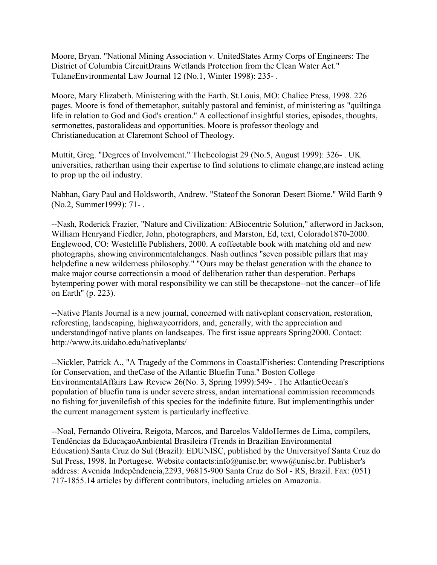Moore, Bryan. "National Mining Association v. UnitedStates Army Corps of Engineers: The District of Columbia CircuitDrains Wetlands Protection from the Clean Water Act." TulaneEnvironmental Law Journal 12 (No.1, Winter 1998): 235- .

Moore, Mary Elizabeth. Ministering with the Earth. St.Louis, MO: Chalice Press, 1998. 226 pages. Moore is fond of themetaphor, suitably pastoral and feminist, of ministering as "quiltinga life in relation to God and God's creation." A collectionof insightful stories, episodes, thoughts, sermonettes, pastoralideas and opportunities. Moore is professor theology and Christianeducation at Claremont School of Theology.

Muttit, Greg. "Degrees of Involvement." TheEcologist 29 (No.5, August 1999): 326- . UK universities, ratherthan using their expertise to find solutions to climate change,are instead acting to prop up the oil industry.

Nabhan, Gary Paul and Holdsworth, Andrew. "Stateof the Sonoran Desert Biome." Wild Earth 9 (No.2, Summer1999): 71- .

--Nash, Roderick Frazier, "Nature and Civilization: ABiocentric Solution," afterword in Jackson, William Henryand Fiedler, John, photographers, and Marston, Ed, text, Colorado1870-2000. Englewood, CO: Westcliffe Publishers, 2000. A coffeetable book with matching old and new photographs, showing environmentalchanges. Nash outlines "seven possible pillars that may helpdefine a new wilderness philosophy." "Ours may be thelast generation with the chance to make major course correctionsin a mood of deliberation rather than desperation. Perhaps bytempering power with moral responsibility we can still be thecapstone--not the cancer--of life on Earth" (p. 223).

--Native Plants Journal is a new journal, concerned with nativeplant conservation, restoration, reforesting, landscaping, highwaycorridors, and, generally, with the appreciation and understandingof native plants on landscapes. The first issue apprears Spring2000. Contact: http://www.its.uidaho.edu/nativeplants/

--Nickler, Patrick A., "A Tragedy of the Commons in CoastalFisheries: Contending Prescriptions for Conservation, and theCase of the Atlantic Bluefin Tuna." Boston College EnvironmentalAffairs Law Review 26(No. 3, Spring 1999):549- . The AtlanticOcean's population of bluefin tuna is under severe stress, andan international commission recommends no fishing for juvenilefish of this species for the indefinite future. But implementingthis under the current management system is particularly ineffective.

--Noal, Fernando Oliveira, Reigota, Marcos, and Barcelos ValdoHermes de Lima, compilers, Tendências da EducaçaoAmbiental Brasileira (Trends in Brazilian Environmental Education).Santa Cruz do Sul (Brazil): EDUNISC, published by the Universityof Santa Cruz do Sul Press, 1998. In Portugese. Website contacts:info@unisc.br; www@unisc.br. Publisher's address: Avenida Indepêndencia,2293, 96815-900 Santa Cruz do Sol - RS, Brazil. Fax: (051) 717-1855.14 articles by different contributors, including articles on Amazonia.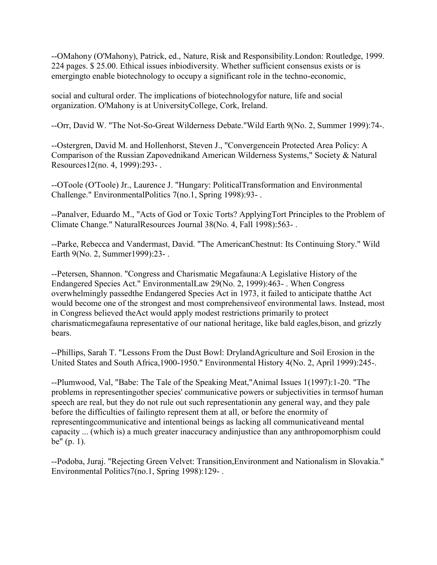--OMahony (O'Mahony), Patrick, ed., Nature, Risk and Responsibility.London: Routledge, 1999. 224 pages. \$ 25.00. Ethical issues inbiodiversity. Whether sufficient consensus exists or is emergingto enable biotechnology to occupy a significant role in the techno-economic,

social and cultural order. The implications of biotechnologyfor nature, life and social organization. O'Mahony is at UniversityCollege, Cork, Ireland.

--Orr, David W. "The Not-So-Great Wilderness Debate."Wild Earth 9(No. 2, Summer 1999):74-.

--Ostergren, David M. and Hollenhorst, Steven J., "Convergencein Protected Area Policy: A Comparison of the Russian Zapovednikand American Wilderness Systems," Society & Natural Resources12(no. 4, 1999):293- .

--OToole (O'Toole) Jr., Laurence J. "Hungary: PoliticalTransformation and Environmental Challenge." EnvironmentalPolitics 7(no.1, Spring 1998):93- .

--Panalver, Eduardo M., "Acts of God or Toxic Torts? ApplyingTort Principles to the Problem of Climate Change." NaturalResources Journal 38(No. 4, Fall 1998):563- .

--Parke, Rebecca and Vandermast, David. "The AmericanChestnut: Its Continuing Story." Wild Earth 9(No. 2, Summer1999):23- .

--Petersen, Shannon. "Congress and Charismatic Megafauna:A Legislative History of the Endangered Species Act." EnvironmentalLaw 29(No. 2, 1999):463- . When Congress overwhelmingly passedthe Endangered Species Act in 1973, it failed to anticipate thatthe Act would become one of the strongest and most comprehensiveof environmental laws. Instead, most in Congress believed theAct would apply modest restrictions primarily to protect charismaticmegafauna representative of our national heritage, like bald eagles,bison, and grizzly bears.

--Phillips, Sarah T. "Lessons From the Dust Bowl: DrylandAgriculture and Soil Erosion in the United States and South Africa,1900-1950." Environmental History 4(No. 2, April 1999):245-.

--Plumwood, Val, "Babe: The Tale of the Speaking Meat,"Animal Issues 1(1997):1-20. "The problems in representingother species' communicative powers or subjectivities in termsof human speech are real, but they do not rule out such representationin any general way, and they pale before the difficulties of failingto represent them at all, or before the enormity of representingcommunicative and intentional beings as lacking all communicativeand mental capacity ... (which is) a much greater inaccuracy andinjustice than any anthropomorphism could be" (p. 1).

--Podoba, Juraj. "Rejecting Green Velvet: Transition,Environment and Nationalism in Slovakia." Environmental Politics7(no.1, Spring 1998):129- .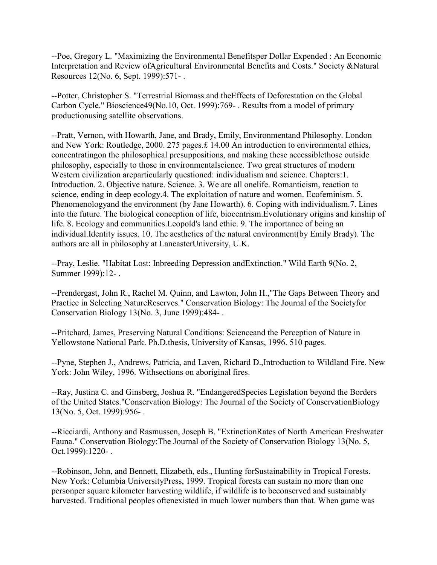--Poe, Gregory L. "Maximizing the Environmental Benefitsper Dollar Expended : An Economic Interpretation and Review ofAgricultural Environmental Benefits and Costs." Society &Natural Resources 12(No. 6, Sept. 1999):571- .

--Potter, Christopher S. "Terrestrial Biomass and theEffects of Deforestation on the Global Carbon Cycle." Bioscience49(No.10, Oct. 1999):769- . Results from a model of primary productionusing satellite observations.

--Pratt, Vernon, with Howarth, Jane, and Brady, Emily, Environmentand Philosophy. London and New York: Routledge, 2000. 275 pages.£ 14.00 An introduction to environmental ethics, concentratingon the philosophical presuppositions, and making these accessiblethose outside philosophy, especially to those in environmentalscience. Two great structures of modern Western civilization areparticularly questioned: individualism and science. Chapters:1. Introduction. 2. Objective nature. Science. 3. We are all onelife. Romanticism, reaction to science, ending in deep ecology.4. The exploitation of nature and women. Ecofeminism. 5. Phenomenologyand the environment (by Jane Howarth). 6. Coping with individualism.7. Lines into the future. The biological conception of life, biocentrism.Evolutionary origins and kinship of life. 8. Ecology and communities.Leopold's land ethic. 9. The importance of being an individual.Identity issues. 10. The aesthetics of the natural environment(by Emily Brady). The authors are all in philosophy at LancasterUniversity, U.K.

--Pray, Leslie. "Habitat Lost: Inbreeding Depression andExtinction." Wild Earth 9(No. 2, Summer 1999):12- .

--Prendergast, John R., Rachel M. Quinn, and Lawton, John H.,"The Gaps Between Theory and Practice in Selecting NatureReserves." Conservation Biology: The Journal of the Societyfor Conservation Biology 13(No. 3, June 1999):484- .

--Pritchard, James, Preserving Natural Conditions: Scienceand the Perception of Nature in Yellowstone National Park. Ph.D.thesis, University of Kansas, 1996. 510 pages.

--Pyne, Stephen J., Andrews, Patricia, and Laven, Richard D.,Introduction to Wildland Fire. New York: John Wiley, 1996. Withsections on aboriginal fires.

--Ray, Justina C. and Ginsberg, Joshua R. "EndangeredSpecies Legislation beyond the Borders of the United States."Conservation Biology: The Journal of the Society of ConservationBiology 13(No. 5, Oct. 1999):956- .

--Ricciardi, Anthony and Rasmussen, Joseph B. "ExtinctionRates of North American Freshwater Fauna." Conservation Biology:The Journal of the Society of Conservation Biology 13(No. 5, Oct.1999):1220- .

--Robinson, John, and Bennett, Elizabeth, eds., Hunting forSustainability in Tropical Forests. New York: Columbia UniversityPress, 1999. Tropical forests can sustain no more than one personper square kilometer harvesting wildlife, if wildlife is to beconserved and sustainably harvested. Traditional peoples oftenexisted in much lower numbers than that. When game was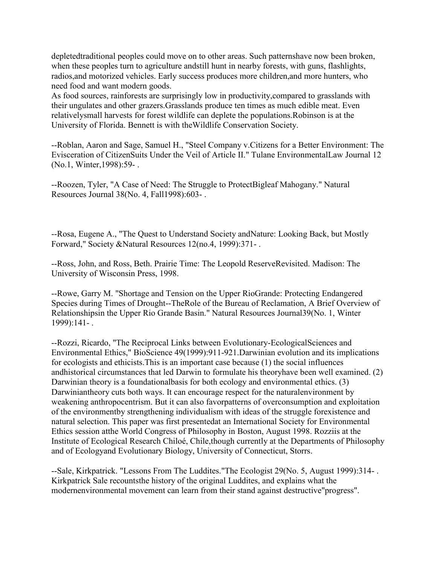depletedtraditional peoples could move on to other areas. Such patternshave now been broken, when these peoples turn to agriculture andstill hunt in nearby forests, with guns, flashlights, radios,and motorized vehicles. Early success produces more children,and more hunters, who need food and want modern goods.

As food sources, rainforests are surprisingly low in productivity,compared to grasslands with their ungulates and other grazers.Grasslands produce ten times as much edible meat. Even relativelysmall harvests for forest wildlife can deplete the populations.Robinson is at the University of Florida. Bennett is with theWildlife Conservation Society.

--Roblan, Aaron and Sage, Samuel H., "Steel Company v.Citizens for a Better Environment: The Evisceration of CitizenSuits Under the Veil of Article II." Tulane EnvironmentalLaw Journal 12 (No.1, Winter,1998):59- .

--Roozen, Tyler, "A Case of Need: The Struggle to ProtectBigleaf Mahogany." Natural Resources Journal 38(No. 4, Fall1998):603- .

--Rosa, Eugene A., "The Quest to Understand Society andNature: Looking Back, but Mostly Forward," Society &Natural Resources 12(no.4, 1999):371- .

--Ross, John, and Ross, Beth. Prairie Time: The Leopold ReserveRevisited. Madison: The University of Wisconsin Press, 1998.

--Rowe, Garry M. "Shortage and Tension on the Upper RioGrande: Protecting Endangered Species during Times of Drought--TheRole of the Bureau of Reclamation, A Brief Overview of Relationshipsin the Upper Rio Grande Basin." Natural Resources Journal39(No. 1, Winter 1999):141- .

--Rozzi, Ricardo, "The Reciprocal Links between Evolutionary-EcologicalSciences and Environmental Ethics," BioScience 49(1999):911-921.Darwinian evolution and its implications for ecologists and ethicists.This is an important case because (1) the social influences andhistorical circumstances that led Darwin to formulate his theoryhave been well examined. (2) Darwinian theory is a foundationalbasis for both ecology and environmental ethics. (3) Darwiniantheory cuts both ways. It can encourage respect for the naturalenvironment by weakening anthropocentrism. But it can also favorpatterns of overconsumption and exploitation of the environmentby strengthening individualism with ideas of the struggle forexistence and natural selection. This paper was first presentedat an International Society for Environmental Ethics session atthe World Congress of Philosophy in Boston, August 1998. Rozziis at the Institute of Ecological Research Chiloé, Chile,though currently at the Departments of Philosophy and of Ecologyand Evolutionary Biology, University of Connecticut, Storrs.

--Sale, Kirkpatrick. "Lessons From The Luddites."The Ecologist 29(No. 5, August 1999):314- . Kirkpatrick Sale recountsthe history of the original Luddites, and explains what the modernenvironmental movement can learn from their stand against destructive"progress".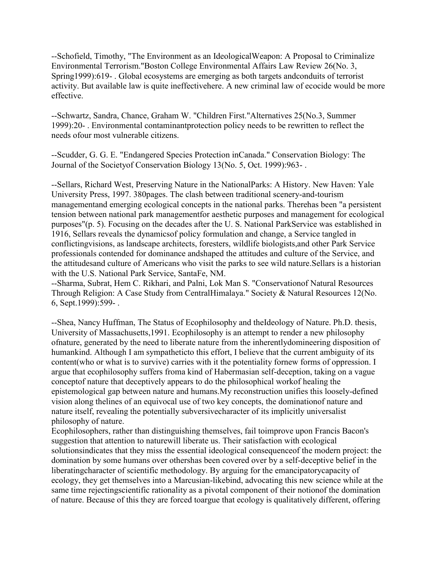--Schofield, Timothy, "The Environment as an IdeologicalWeapon: A Proposal to Criminalize Environmental Terrorism."Boston College Environmental Affairs Law Review 26(No. 3, Spring1999):619- . Global ecosystems are emerging as both targets andconduits of terrorist activity. But available law is quite ineffectivehere. A new criminal law of ecocide would be more effective.

--Schwartz, Sandra, Chance, Graham W. "Children First."Alternatives 25(No.3, Summer 1999):20- . Environmental contaminantprotection policy needs to be rewritten to reflect the needs ofour most vulnerable citizens.

--Scudder, G. G. E. "Endangered Species Protection inCanada." Conservation Biology: The Journal of the Societyof Conservation Biology 13(No. 5, Oct. 1999):963- .

--Sellars, Richard West, Preserving Nature in the NationalParks: A History. New Haven: Yale University Press, 1997. 380pages. The clash between traditional scenery-and-tourism managementand emerging ecological concepts in the national parks. Therehas been "a persistent tension between national park managementfor aesthetic purposes and management for ecological purposes"(p. 5). Focusing on the decades after the U. S. National ParkService was established in 1916, Sellars reveals the dynamicsof policy formulation and change, a Service tangled in conflictingvisions, as landscape architects, foresters, wildlife biologists,and other Park Service professionals contended for dominance andshaped the attitudes and culture of the Service, and the attitudesand culture of Americans who visit the parks to see wild nature.Sellars is a historian with the U.S. National Park Service, SantaFe, NM.

--Sharma, Subrat, Hem C. Rikhari, and Palni, Lok Man S. "Conservationof Natural Resources Through Religion: A Case Study from CentralHimalaya." Society & Natural Resources 12(No. 6, Sept.1999):599- .

--Shea, Nancy Huffman, The Status of Ecophilosophy and theIdeology of Nature. Ph.D. thesis, University of Massachusetts,1991. Ecophilosophy is an attempt to render a new philosophy ofnature, generated by the need to liberate nature from the inherentlydomineering disposition of humankind. Although I am sympatheticto this effort, I believe that the current ambiguity of its content(who or what is to survive) carries with it the potentiality fornew forms of oppression. I argue that ecophilosophy suffers froma kind of Habermasian self-deception, taking on a vague conceptof nature that deceptively appears to do the philosophical workof healing the epistemological gap between nature and humans.My reconstruction unifies this loosely-defined vision along thelines of an equivocal use of two key concepts, the dominationof nature and nature itself, revealing the potentially subversivecharacter of its implicitly universalist philosophy of nature.

Ecophilosophers, rather than distinguishing themselves, fail toimprove upon Francis Bacon's suggestion that attention to naturewill liberate us. Their satisfaction with ecological solutionsindicates that they miss the essential ideological consequenceof the modern project: the domination by some humans over othershas been covered over by a self-deceptive belief in the liberatingcharacter of scientific methodology. By arguing for the emancipatorycapacity of ecology, they get themselves into a Marcusian-likebind, advocating this new science while at the same time rejectingscientific rationality as a pivotal component of their notionof the domination of nature. Because of this they are forced toargue that ecology is qualitatively different, offering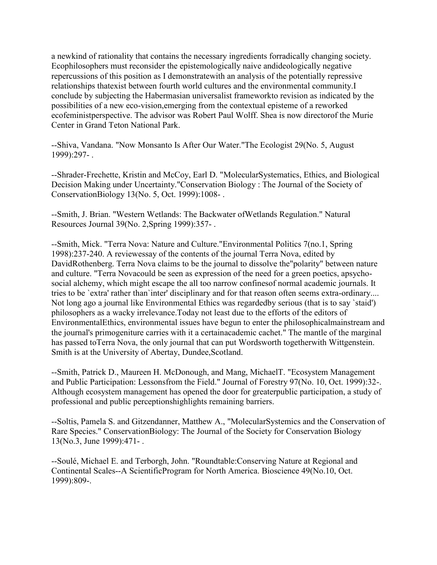a newkind of rationality that contains the necessary ingredients forradically changing society. Ecophilosophers must reconsider the epistemologically naive andideologically negative repercussions of this position as I demonstratewith an analysis of the potentially repressive relationships thatexist between fourth world cultures and the environmental community.I conclude by subjecting the Habermasian universalist frameworkto revision as indicated by the possibilities of a new eco-vision,emerging from the contextual episteme of a reworked ecofeministperspective. The advisor was Robert Paul Wolff. Shea is now directorof the Murie Center in Grand Teton National Park.

--Shiva, Vandana. "Now Monsanto Is After Our Water."The Ecologist 29(No. 5, August 1999):297- .

--Shrader-Frechette, Kristin and McCoy, Earl D. "MolecularSystematics, Ethics, and Biological Decision Making under Uncertainty."Conservation Biology : The Journal of the Society of ConservationBiology 13(No. 5, Oct. 1999):1008- .

--Smith, J. Brian. "Western Wetlands: The Backwater ofWetlands Regulation." Natural Resources Journal 39(No. 2,Spring 1999):357- .

--Smith, Mick. "Terra Nova: Nature and Culture."Environmental Politics 7(no.1, Spring 1998):237-240. A reviewessay of the contents of the journal Terra Nova, edited by DavidRothenberg. Terra Nova claims to be the journal to dissolve the"polarity" between nature and culture. "Terra Novacould be seen as expression of the need for a green poetics, apsychosocial alchemy, which might escape the all too narrow confinesof normal academic journals. It tries to be `extra' rather than`inter' disciplinary and for that reason often seems extra-ordinary.... Not long ago a journal like Environmental Ethics was regardedby serious (that is to say `staid') philosophers as a wacky irrelevance.Today not least due to the efforts of the editors of EnvironmentalEthics, environmental issues have begun to enter the philosophicalmainstream and the journal's primogeniture carries with it a certainacademic cachet." The mantle of the marginal has passed toTerra Nova, the only journal that can put Wordsworth togetherwith Wittgenstein. Smith is at the University of Abertay, Dundee,Scotland.

--Smith, Patrick D., Maureen H. McDonough, and Mang, MichaelT. "Ecosystem Management and Public Participation: Lessonsfrom the Field." Journal of Forestry 97(No. 10, Oct. 1999):32-. Although ecosystem management has opened the door for greaterpublic participation, a study of professional and public perceptionshighlights remaining barriers.

--Soltis, Pamela S. and Gitzendanner, Matthew A., "MolecularSystemics and the Conservation of Rare Species." ConservationBiology: The Journal of the Society for Conservation Biology 13(No.3, June 1999):471- .

--Soulé, Michael E. and Terborgh, John. "Roundtable:Conserving Nature at Regional and Continental Scales--A ScientificProgram for North America. Bioscience 49(No.10, Oct. 1999):809-.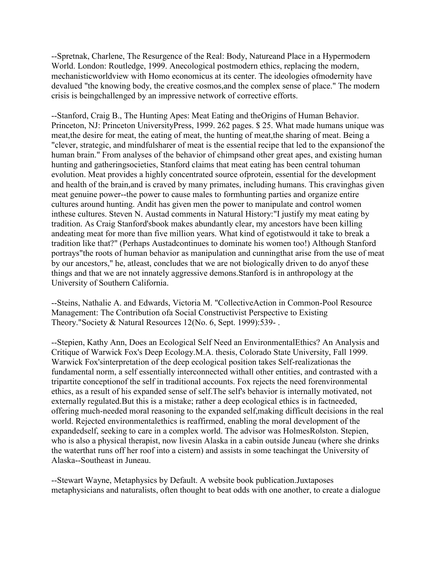--Spretnak, Charlene, The Resurgence of the Real: Body, Natureand Place in a Hypermodern World. London: Routledge, 1999. Anecological postmodern ethics, replacing the modern, mechanisticworldview with Homo economicus at its center. The ideologies ofmodernity have devalued "the knowing body, the creative cosmos,and the complex sense of place." The modern crisis is beingchallenged by an impressive network of corrective efforts.

--Stanford, Craig B., The Hunting Apes: Meat Eating and theOrigins of Human Behavior. Princeton, NJ: Princeton UniversityPress, 1999. 262 pages. \$ 25. What made humans unique was meat, the desire for meat, the eating of meat, the hunting of meat, the sharing of meat. Being a "clever, strategic, and mindfulsharer of meat is the essential recipe that led to the expansionof the human brain." From analyses of the behavior of chimpsand other great apes, and existing human hunting and gatheringsocieties, Stanford claims that meat eating has been central tohuman evolution. Meat provides a highly concentrated source ofprotein, essential for the development and health of the brain,and is craved by many primates, including humans. This cravinghas given meat genuine power--the power to cause males to formhunting parties and organize entire cultures around hunting. Andit has given men the power to manipulate and control women inthese cultures. Steven N. Austad comments in Natural History:"I justify my meat eating by tradition. As Craig Stanford'sbook makes abundantly clear, my ancestors have been killing andeating meat for more than five million years. What kind of egotistwould it take to break a tradition like that?" (Perhaps Austadcontinues to dominate his women too!) Although Stanford portrays"the roots of human behavior as manipulation and cunningthat arise from the use of meat by our ancestors," he, atleast, concludes that we are not biologically driven to do anyof these things and that we are not innately aggressive demons.Stanford is in anthropology at the University of Southern California.

--Steins, Nathalie A. and Edwards, Victoria M. "CollectiveAction in Common-Pool Resource Management: The Contribution ofa Social Constructivist Perspective to Existing Theory."Society & Natural Resources 12(No. 6, Sept. 1999):539- .

--Stepien, Kathy Ann, Does an Ecological Self Need an EnvironmentalEthics? An Analysis and Critique of Warwick Fox's Deep Ecology.M.A. thesis, Colorado State University, Fall 1999. Warwick Fox'sinterpretation of the deep ecological position takes Self-realizationas the fundamental norm, a self essentially interconnected withall other entities, and contrasted with a tripartite conceptionof the self in traditional accounts. Fox rejects the need forenvironmental ethics, as a result of his expanded sense of self.The self's behavior is internally motivated, not externally regulated.But this is a mistake; rather a deep ecological ethics is in factneeded, offering much-needed moral reasoning to the expanded self,making difficult decisions in the real world. Rejected environmentalethics is reaffirmed, enabling the moral development of the expandedself, seeking to care in a complex world. The advisor was HolmesRolston. Stepien, who is also a physical therapist, now livesin Alaska in a cabin outside Juneau (where she drinks the waterthat runs off her roof into a cistern) and assists in some teachingat the University of Alaska--Southeast in Juneau.

--Stewart Wayne, Metaphysics by Default. A website book publication.Juxtaposes metaphysicians and naturalists, often thought to beat odds with one another, to create a dialogue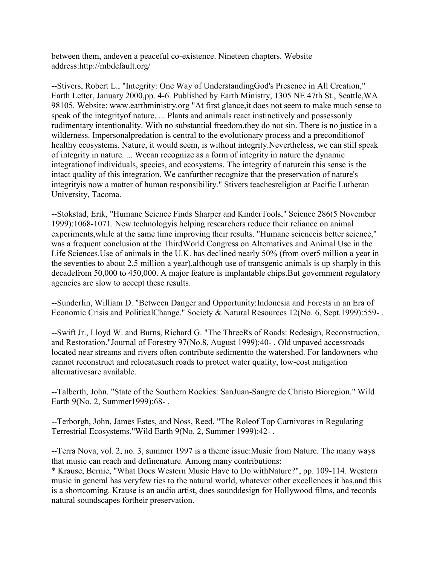between them, andeven a peaceful co-existence. Nineteen chapters. Website address:http://mbdefault.org/

--Stivers, Robert L., "Integrity: One Way of UnderstandingGod's Presence in All Creation," Earth Letter, January 2000,pp. 4-6. Published by Earth Ministry, 1305 NE 47th St., Seattle,WA 98105. Website: www.earthministry.org "At first glance,it does not seem to make much sense to speak of the integrityof nature. ... Plants and animals react instinctively and possessonly rudimentary intentionality. With no substantial freedom,they do not sin. There is no justice in a wilderness. Impersonalpredation is central to the evolutionary process and a preconditionof healthy ecosystems. Nature, it would seem, is without integrity.Nevertheless, we can still speak of integrity in nature. ... Wecan recognize as a form of integrity in nature the dynamic integrationof individuals, species, and ecosystems. The integrity of naturein this sense is the intact quality of this integration. We canfurther recognize that the preservation of nature's integrityis now a matter of human responsibility." Stivers teachesreligion at Pacific Lutheran University, Tacoma.

--Stokstad, Erik, "Humane Science Finds Sharper and KinderTools," Science 286(5 November 1999):1068-1071. New technologyis helping researchers reduce their reliance on animal experiments, while at the same time improving their results. "Humane scienceis better science," was a frequent conclusion at the ThirdWorld Congress on Alternatives and Animal Use in the Life Sciences.Use of animals in the U.K. has declined nearly 50% (from over5 million a year in the seventies to about 2.5 million a year),although use of transgenic animals is up sharply in this decadefrom 50,000 to 450,000. A major feature is implantable chips.But government regulatory agencies are slow to accept these results.

--Sunderlin, William D. "Between Danger and Opportunity:Indonesia and Forests in an Era of Economic Crisis and PoliticalChange." Society & Natural Resources 12(No. 6, Sept.1999):559-.

--Swift Jr., Lloyd W. and Burns, Richard G. "The ThreeRs of Roads: Redesign, Reconstruction, and Restoration."Journal of Forestry 97(No.8, August 1999):40- . Old unpaved accessroads located near streams and rivers often contribute sedimentto the watershed. For landowners who cannot reconstruct and relocatesuch roads to protect water quality, low-cost mitigation alternativesare available.

--Talberth, John. "State of the Southern Rockies: SanJuan-Sangre de Christo Bioregion." Wild Earth 9(No. 2, Summer1999):68-.

--Terborgh, John, James Estes, and Noss, Reed. "The Roleof Top Carnivores in Regulating Terrestrial Ecosystems."Wild Earth 9(No. 2, Summer 1999):42- .

--Terra Nova, vol. 2, no. 3, summer 1997 is a theme issue:Music from Nature. The many ways that music can reach and definenature. Among many contributions:

\* Krause, Bernie, "What Does Western Music Have to Do withNature?", pp. 109-114. Western music in general has veryfew ties to the natural world, whatever other excellences it has,and this is a shortcoming. Krause is an audio artist, does sounddesign for Hollywood films, and records natural soundscapes fortheir preservation.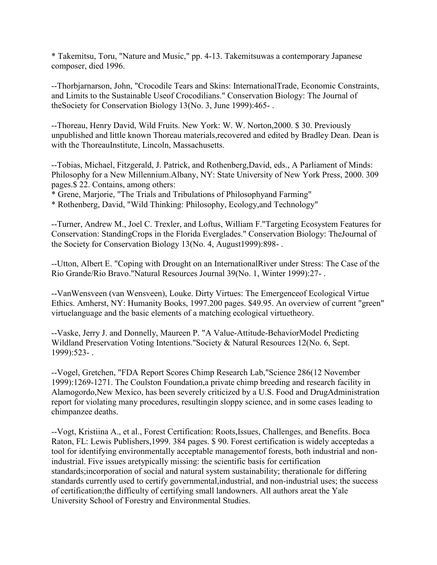\* Takemitsu, Toru, "Nature and Music," pp. 4-13. Takemitsuwas a contemporary Japanese composer, died 1996.

--Thorbjarnarson, John, "Crocodile Tears and Skins: InternationalTrade, Economic Constraints, and Limits to the Sustainable Useof Crocodilians." Conservation Biology: The Journal of theSociety for Conservation Biology 13(No. 3, June 1999):465- .

--Thoreau, Henry David, Wild Fruits. New York: W. W. Norton,2000. \$ 30. Previously unpublished and little known Thoreau materials,recovered and edited by Bradley Dean. Dean is with the ThoreauInstitute, Lincoln, Massachusetts.

--Tobias, Michael, Fitzgerald, J. Patrick, and Rothenberg,David, eds., A Parliament of Minds: Philosophy for a New Millennium.Albany, NY: State University of New York Press, 2000. 309 pages.\$ 22. Contains, among others:

\* Grene, Marjorie, "The Trials and Tribulations of Philosophyand Farming"

\* Rothenberg, David, "Wild Thinking: Philosophy, Ecology,and Technology"

--Turner, Andrew M., Joel C. Trexler, and Loftus, William F."Targeting Ecosystem Features for Conservation: StandingCrops in the Florida Everglades." Conservation Biology: TheJournal of the Society for Conservation Biology 13(No. 4, August1999):898- .

--Utton, Albert E. "Coping with Drought on an InternationalRiver under Stress: The Case of the Rio Grande/Rio Bravo."Natural Resources Journal 39(No. 1, Winter 1999):27- .

--VanWensveen (van Wensveen), Louke. Dirty Virtues: The Emergenceof Ecological Virtue Ethics. Amherst, NY: Humanity Books, 1997.200 pages. \$49.95. An overview of current "green" virtuelanguage and the basic elements of a matching ecological virtuetheory.

--Vaske, Jerry J. and Donnelly, Maureen P. "A Value-Attitude-BehaviorModel Predicting Wildland Preservation Voting Intentions."Society & Natural Resources 12(No. 6, Sept. 1999):523- .

--Vogel, Gretchen, "FDA Report Scores Chimp Research Lab,"Science 286(12 November 1999):1269-1271. The Coulston Foundation,a private chimp breeding and research facility in Alamogordo,New Mexico, has been severely criticized by a U.S. Food and DrugAdministration report for violating many procedures, resultingin sloppy science, and in some cases leading to chimpanzee deaths.

--Vogt, Kristiina A., et al., Forest Certification: Roots,Issues, Challenges, and Benefits. Boca Raton, FL: Lewis Publishers,1999. 384 pages. \$ 90. Forest certification is widely acceptedas a tool for identifying environmentally acceptable managementof forests, both industrial and nonindustrial. Five issues aretypically missing: the scientific basis for certification standards;incorporation of social and natural system sustainability; therationale for differing standards currently used to certify governmental,industrial, and non-industrial uses; the success of certification;the difficulty of certifying small landowners. All authors areat the Yale University School of Forestry and Environmental Studies.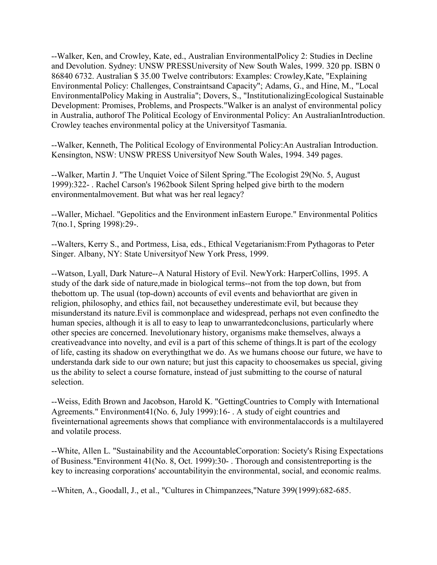--Walker, Ken, and Crowley, Kate, ed., Australian EnvironmentalPolicy 2: Studies in Decline and Devolution. Sydney: UNSW PRESSUniversity of New South Wales, 1999. 320 pp. ISBN 0 86840 6732. Australian \$ 35.00 Twelve contributors: Examples: Crowley,Kate, "Explaining Environmental Policy: Challenges, Constraintsand Capacity"; Adams, G., and Hine, M., "Local EnvironmentalPolicy Making in Australia"; Dovers, S., "InstitutionalizingEcological Sustainable Development: Promises, Problems, and Prospects."Walker is an analyst of environmental policy in Australia, authorof The Political Ecology of Environmental Policy: An AustralianIntroduction. Crowley teaches environmental policy at the Universityof Tasmania.

--Walker, Kenneth, The Political Ecology of Environmental Policy:An Australian Introduction. Kensington, NSW: UNSW PRESS Universityof New South Wales, 1994. 349 pages.

--Walker, Martin J. "The Unquiet Voice of Silent Spring."The Ecologist 29(No. 5, August 1999):322- . Rachel Carson's 1962book Silent Spring helped give birth to the modern environmentalmovement. But what was her real legacy?

--Waller, Michael. "Gepolitics and the Environment inEastern Europe." Environmental Politics 7(no.1, Spring 1998):29-.

--Walters, Kerry S., and Portmess, Lisa, eds., Ethical Vegetarianism:From Pythagoras to Peter Singer. Albany, NY: State Universityof New York Press, 1999.

--Watson, Lyall, Dark Nature--A Natural History of Evil. NewYork: HarperCollins, 1995. A study of the dark side of nature,made in biological terms--not from the top down, but from thebottom up. The usual (top-down) accounts of evil events and behaviorthat are given in religion, philosophy, and ethics fail, not becausethey underestimate evil, but because they misunderstand its nature.Evil is commonplace and widespread, perhaps not even confinedto the human species, although it is all to easy to leap to unwarrantedconclusions, particularly where other species are concerned. Inevolutionary history, organisms make themselves, always a creativeadvance into novelty, and evil is a part of this scheme of things.It is part of the ecology of life, casting its shadow on everythingthat we do. As we humans choose our future, we have to understanda dark side to our own nature; but just this capacity to choosemakes us special, giving us the ability to select a course fornature, instead of just submitting to the course of natural selection.

--Weiss, Edith Brown and Jacobson, Harold K. "GettingCountries to Comply with International Agreements." Environment41(No. 6, July 1999):16- . A study of eight countries and fiveinternational agreements shows that compliance with environmentalaccords is a multilayered and volatile process.

--White, Allen L. "Sustainability and the AccountableCorporation: Society's Rising Expectations of Business."Environment 41(No. 8, Oct. 1999):30- . Thorough and consistentreporting is the key to increasing corporations' accountabilityin the environmental, social, and economic realms.

--Whiten, A., Goodall, J., et al., "Cultures in Chimpanzees,"Nature 399(1999):682-685.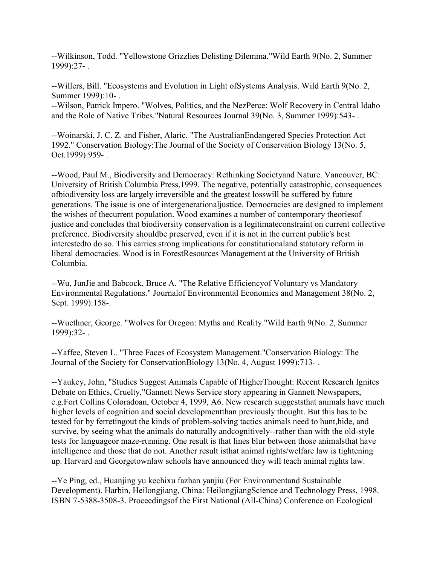--Wilkinson, Todd. "Yellowstone Grizzlies Delisting Dilemma."Wild Earth 9(No. 2, Summer 1999):27- .

--Willers, Bill. "Ecosystems and Evolution in Light ofSystems Analysis. Wild Earth 9(No. 2, Summer 1999):10- .

--Wilson, Patrick Impero. "Wolves, Politics, and the NezPerce: Wolf Recovery in Central Idaho and the Role of Native Tribes."Natural Resources Journal 39(No. 3, Summer 1999):543- .

--Woinarski, J. C. Z. and Fisher, Alaric. "The AustralianEndangered Species Protection Act 1992." Conservation Biology:The Journal of the Society of Conservation Biology 13(No. 5, Oct.1999):959- .

--Wood, Paul M., Biodiversity and Democracy: Rethinking Societyand Nature. Vancouver, BC: University of British Columbia Press,1999. The negative, potentially catastrophic, consequences ofbiodiversity loss are largely irreversible and the greatest losswill be suffered by future generations. The issue is one of intergenerationaljustice. Democracies are designed to implement the wishes of thecurrent population. Wood examines a number of contemporary theoriesof justice and concludes that biodiversity conservation is a legitimateconstraint on current collective preference. Biodiversity shouldbe preserved, even if it is not in the current public's best interestedto do so. This carries strong implications for constitutionaland statutory reform in liberal democracies. Wood is in ForestResources Management at the University of British Columbia.

--Wu, JunJie and Babcock, Bruce A. "The Relative Efficiencyof Voluntary vs Mandatory Environmental Regulations." Journalof Environmental Economics and Management 38(No. 2, Sept. 1999):158-.

--Wuethner, George. "Wolves for Oregon: Myths and Reality."Wild Earth 9(No. 2, Summer 1999):32- .

--Yaffee, Steven L. "Three Faces of Ecosystem Management."Conservation Biology: The Journal of the Society for ConservationBiology 13(No. 4, August 1999):713- .

--Yaukey, John, "Studies Suggest Animals Capable of HigherThought: Recent Research Ignites Debate on Ethics, Cruelty,"Gannett News Service story appearing in Gannett Newspapers, e.g.Fort Collins Coloradoan, October 4, 1999, A6. New research suggeststhat animals have much higher levels of cognition and social developmentthan previously thought. But this has to be tested for by ferretingout the kinds of problem-solving tactics animals need to hunt,hide, and survive, by seeing what the animals do naturally andcognitively--rather than with the old-style tests for languageor maze-running. One result is that lines blur between those animalsthat have intelligence and those that do not. Another result isthat animal rights/welfare law is tightening up. Harvard and Georgetownlaw schools have announced they will teach animal rights law.

--Ye Ping, ed., Huanjing yu kechixu fazhan yanjiu (For Environmentand Sustainable Development). Harbin, Heilongjiang, China: HeilongjiangScience and Technology Press, 1998. ISBN 7-5388-3508-3. Proceedingsof the First National (All-China) Conference on Ecological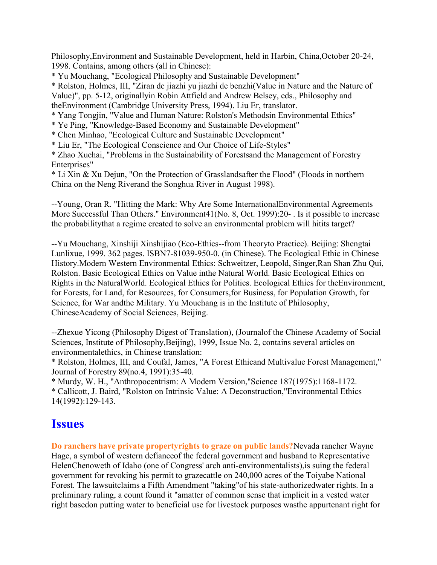Philosophy,Environment and Sustainable Development, held in Harbin, China,October 20-24, 1998. Contains, among others (all in Chinese):

\* Yu Mouchang, "Ecological Philosophy and Sustainable Development"

\* Rolston, Holmes, III, "Ziran de jiazhi yu jiazhi de benzhi(Value in Nature and the Nature of Value)", pp. 5-12, originallyin Robin Attfield and Andrew Belsey, eds., Philosophy and theEnvironment (Cambridge University Press, 1994). Liu Er, translator.

\* Yang Tongjin, "Value and Human Nature: Rolston's Methodsin Environmental Ethics"

- \* Ye Ping, "Knowledge-Based Economy and Sustainable Development"
- \* Chen Minhao, "Ecological Culture and Sustainable Development"
- \* Liu Er, "The Ecological Conscience and Our Choice of Life-Styles"

\* Zhao Xuehai, "Problems in the Sustainability of Forestsand the Management of Forestry Enterprises"

\* Li Xin & Xu Dejun, "On the Protection of Grasslandsafter the Flood" (Floods in northern China on the Neng Riverand the Songhua River in August 1998).

--Young, Oran R. "Hitting the Mark: Why Are Some InternationalEnvironmental Agreements More Successful Than Others." Environment41(No. 8, Oct. 1999):20-. Is it possible to increase the probabilitythat a regime created to solve an environmental problem will hitits target?

--Yu Mouchang, Xinshiji Xinshijiao (Eco-Ethics--from Theoryto Practice). Beijing: Shengtai Lunlixue, 1999. 362 pages. ISBN7-81039-950-0. (in Chinese). The Ecological Ethic in Chinese History.Modern Western Environmental Ethics: Schweitzer, Leopold, Singer,Ran Shan Zhu Qui, Rolston. Basic Ecological Ethics on Value inthe Natural World. Basic Ecological Ethics on Rights in the NaturalWorld. Ecological Ethics for Politics. Ecological Ethics for theEnvironment, for Forests, for Land, for Resources, for Consumers,for Business, for Population Growth, for Science, for War andthe Military. Yu Mouchang is in the Institute of Philosophy, ChineseAcademy of Social Sciences, Beijing.

--Zhexue Yicong (Philosophy Digest of Translation), (Journalof the Chinese Academy of Social Sciences, Institute of Philosophy,Beijing), 1999, Issue No. 2, contains several articles on environmentalethics, in Chinese translation:

\* Rolston, Holmes, III, and Coufal, James, "A Forest Ethicand Multivalue Forest Management," Journal of Forestry 89(no.4, 1991):35-40.

\* Murdy, W. H., "Anthropocentrism: A Modern Version,"Science 187(1975):1168-1172. \* Callicott, J. Baird, "Rolston on Intrinsic Value: A Deconstruction,"Environmental Ethics 14(1992):129-143.

### **Issues**

**Do ranchers have private propertyrights to graze on public lands?**Nevada rancher Wayne Hage, a symbol of western defianceof the federal government and husband to Representative HelenChenoweth of Idaho (one of Congress' arch anti-environmentalists),is suing the federal government for revoking his permit to grazecattle on 240,000 acres of the Toiyabe National Forest. The lawsuitclaims a Fifth Amendment "taking"of his state-authorizedwater rights. In a preliminary ruling, a count found it "amatter of common sense that implicit in a vested water right basedon putting water to beneficial use for livestock purposes wasthe appurtenant right for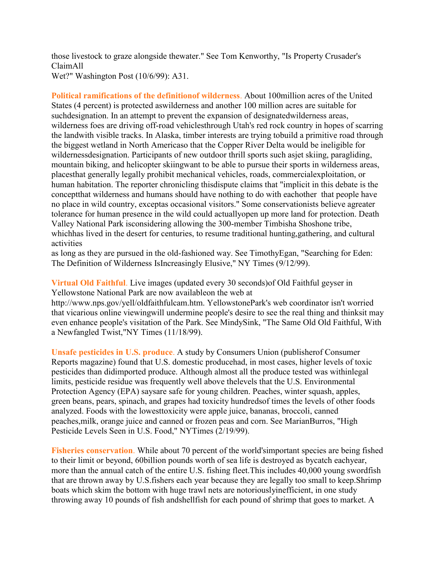those livestock to graze alongside thewater." See Tom Kenworthy, "Is Property Crusader's ClaimAll Wet?" Washington Post (10/6/99): A31.

**Political ramifications of the definitionof wilderness**. About 100million acres of the United States (4 percent) is protected aswilderness and another 100 million acres are suitable for suchdesignation. In an attempt to prevent the expansion of designatedwilderness areas, wilderness foes are driving off-road vehiclesthrough Utah's red rock country in hopes of scarring the landwith visible tracks. In Alaska, timber interests are trying tobuild a primitive road through the biggest wetland in North Americaso that the Copper River Delta would be ineligible for wildernessdesignation. Participants of new outdoor thrill sports such asjet skiing, paragliding, mountain biking, and helicopter skiingwant to be able to pursue their sports in wilderness areas, placesthat generally legally prohibit mechanical vehicles, roads, commercialexploitation, or human habitation. The reporter chronicling thisdispute claims that "implicit in this debate is the conceptthat wilderness and humans should have nothing to do with eachother that people have no place in wild country, exceptas occasional visitors." Some conservationists believe agreater tolerance for human presence in the wild could actuallyopen up more land for protection. Death Valley National Park isconsidering allowing the 300-member Timbisha Shoshone tribe, whichhas lived in the desert for centuries, to resume traditional hunting,gathering, and cultural activities

as long as they are pursued in the old-fashioned way. See TimothyEgan, "Searching for Eden: The Definition of Wilderness IsIncreasingly Elusive," NY Times (9/12/99).

**Virtual Old Faithful**. Live images (updated every 30 seconds)of Old Faithful geyser in Yellowstone National Park are now availableon the web at

http://www.nps.gov/yell/oldfaithfulcam.htm. YellowstonePark's web coordinator isn't worried that vicarious online viewingwill undermine people's desire to see the real thing and thinksit may even enhance people's visitation of the Park. See MindySink, "The Same Old Old Faithful, With a Newfangled Twist,"NY Times (11/18/99).

**Unsafe pesticides in U.S. produce**. A study by Consumers Union (publisherof Consumer Reports magazine) found that U.S. domestic producehad, in most cases, higher levels of toxic pesticides than didimported produce. Although almost all the produce tested was withinlegal limits, pesticide residue was frequently well above thelevels that the U.S. Environmental Protection Agency (EPA) saysare safe for young children. Peaches, winter squash, apples, green beans, pears, spinach, and grapes had toxicity hundredsof times the levels of other foods analyzed. Foods with the lowesttoxicity were apple juice, bananas, broccoli, canned peaches,milk, orange juice and canned or frozen peas and corn. See MarianBurros, "High Pesticide Levels Seen in U.S. Food," NYTimes (2/19/99).

**Fisheries conservation**. While about 70 percent of the world'simportant species are being fished to their limit or beyond, 60billion pounds worth of sea life is destroyed as bycatch eachyear, more than the annual catch of the entire U.S. fishing fleet.This includes 40,000 young swordfish that are thrown away by U.S.fishers each year because they are legally too small to keep.Shrimp boats which skim the bottom with huge trawl nets are notoriouslyinefficient, in one study throwing away 10 pounds of fish andshellfish for each pound of shrimp that goes to market. A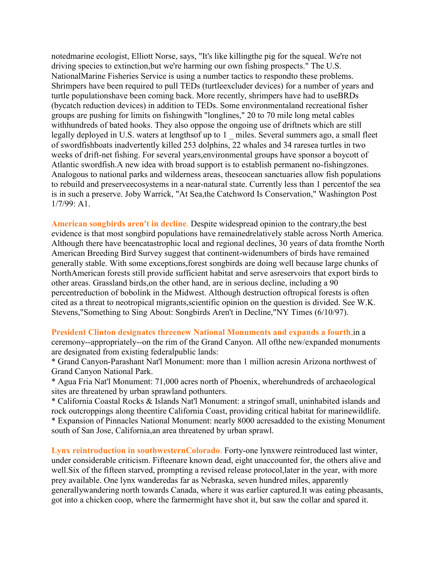notedmarine ecologist, Elliott Norse, says, "It's like killingthe pig for the squeal. We're not driving species to extinction,but we're harming our own fishing prospects." The U.S. NationalMarine Fisheries Service is using a number tactics to respondto these problems. Shrimpers have been required to pull TEDs (turtleexcluder devices) for a number of years and turtle populationshave been coming back. More recently, shrimpers have had to useBRDs (bycatch reduction devices) in addition to TEDs. Some environmentaland recreational fisher groups are pushing for limits on fishingwith "longlines," 20 to 70 mile long metal cables withhundreds of bated hooks. They also oppose the ongoing use of driftnets which are still legally deployed in U.S. waters at lengthsof up to 1 miles. Several summers ago, a small fleet of swordfishboats inadvertently killed 253 dolphins, 22 whales and 34 raresea turtles in two weeks of drift-net fishing. For several years,environmental groups have sponsor a boycott of Atlantic swordfish.A new idea with broad support is to establish permanent no-fishingzones. Analogous to national parks and wilderness areas, theseocean sanctuaries allow fish populations to rebuild and preserveecosystems in a near-natural state. Currently less than 1 percentof the sea is in such a preserve. Joby Warrick, "At Sea,the Catchword Is Conservation," Washington Post 1/7/99: A1.

**American songbirds aren't in decline**. Despite widespread opinion to the contrary,the best evidence is that most songbird populations have remainedrelatively stable across North America. Although there have beencatastrophic local and regional declines, 30 years of data fromthe North American Breeding Bird Survey suggest that continent-widenumbers of birds have remained generally stable. With some exceptions,forest songbirds are doing well because large chunks of NorthAmerican forests still provide sufficient habitat and serve asreservoirs that export birds to other areas. Grassland birds,on the other hand, are in serious decline, including a 90 percentreduction of bobolink in the Midwest. Although destruction oftropical forests is often cited as a threat to neotropical migrants,scientific opinion on the question is divided. See W.K. Stevens,"Something to Sing About: Songbirds Aren't in Decline,"NY Times (6/10/97).

#### **President Clinton designates threenew National Monuments and expands a fourth**,in a

ceremony--appropriately--on the rim of the Grand Canyon. All ofthe new/expanded monuments are designated from existing federalpublic lands:

\* Grand Canyon-Parashant Nat'l Monument: more than 1 million acresin Arizona northwest of Grand Canyon National Park.

\* Agua Fria Nat'l Monument: 71,000 acres north of Phoenix, wherehundreds of archaeological sites are threatened by urban sprawland pothunters.

\* California Coastal Rocks & Islands Nat'l Monument: a stringof small, uninhabited islands and rock outcroppings along theentire California Coast, providing critical habitat for marinewildlife. \* Expansion of Pinnacles National Monument: nearly 8000 acresadded to the existing Monument south of San Jose, California,an area threatened by urban sprawl.

**Lynx reintroduction in southwesternColorado**. Forty-one lynxwere reintroduced last winter, under considerable criticism. Fifteenare known dead, eight unaccounted for, the others alive and well.Six of the fifteen starved, prompting a revised release protocol,later in the year, with more prey available. One lynx wanderedas far as Nebraska, seven hundred miles, apparently generallywandering north towards Canada, where it was earlier captured.It was eating pheasants, got into a chicken coop, where the farmermight have shot it, but saw the collar and spared it.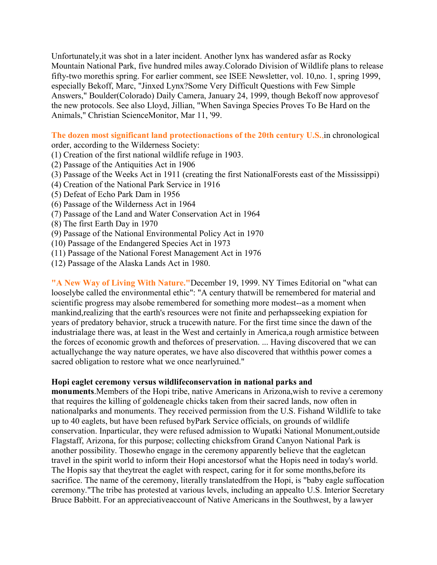Unfortunately,it was shot in a later incident. Another lynx has wandered asfar as Rocky Mountain National Park, five hundred miles away.Colorado Division of Wildlife plans to release fifty-two morethis spring. For earlier comment, see ISEE Newsletter, vol. 10,no. 1, spring 1999, especially Bekoff, Marc, "Jinxed Lynx?Some Very Difficult Questions with Few Simple Answers," Boulder(Colorado) Daily Camera, January 24, 1999, though Bekoff now approvesof the new protocols. See also Lloyd, Jillian, "When Savinga Species Proves To Be Hard on the Animals," Christian ScienceMonitor, Mar 11, '99.

**The dozen most significant land protectionactions of the 20th century U.S.**,in chronological order, according to the Wilderness Society:

- (1) Creation of the first national wildlife refuge in 1903.
- (2) Passage of the Antiquities Act in 1906
- (3) Passage of the Weeks Act in 1911 (creating the first NationalForests east of the Mississippi)
- (4) Creation of the National Park Service in 1916
- (5) Defeat of Echo Park Dam in 1956
- (6) Passage of the Wilderness Act in 1964
- (7) Passage of the Land and Water Conservation Act in 1964
- (8) The first Earth Day in 1970
- (9) Passage of the National Environmental Policy Act in 1970
- (10) Passage of the Endangered Species Act in 1973
- (11) Passage of the National Forest Management Act in 1976
- (12) Passage of the Alaska Lands Act in 1980.

**"A New Way of Living With Nature."**December 19, 1999. NY Times Editorial on "what can looselybe called the environmental ethic": "A century thatwill be remembered for material and scientific progress may alsobe remembered for something more modest--as a moment when mankind,realizing that the earth's resources were not finite and perhapsseeking expiation for years of predatory behavior, struck a trucewith nature. For the first time since the dawn of the industrialage there was, at least in the West and certainly in America,a rough armistice between the forces of economic growth and theforces of preservation. ... Having discovered that we can actuallychange the way nature operates, we have also discovered that withthis power comes a sacred obligation to restore what we once nearlyruined."

#### **Hopi eaglet ceremony versus wildlifeconservation in national parks and**

**monuments**.Members of the Hopi tribe, native Americans in Arizona,wish to revive a ceremony that requires the killing of goldeneagle chicks taken from their sacred lands, now often in nationalparks and monuments. They received permission from the U.S. Fishand Wildlife to take up to 40 eaglets, but have been refused byPark Service officials, on grounds of wildlife conservation. Inparticular, they were refused admission to Wupatki National Monument,outside Flagstaff, Arizona, for this purpose; collecting chicksfrom Grand Canyon National Park is another possibility. Thosewho engage in the ceremony apparently believe that the eagletcan travel in the spirit world to inform their Hopi ancestorsof what the Hopis need in today's world. The Hopis say that theytreat the eaglet with respect, caring for it for some months,before its sacrifice. The name of the ceremony, literally translatedfrom the Hopi, is "baby eagle suffocation ceremony."The tribe has protested at various levels, including an appealto U.S. Interior Secretary Bruce Babbitt. For an appreciativeaccount of Native Americans in the Southwest, by a lawyer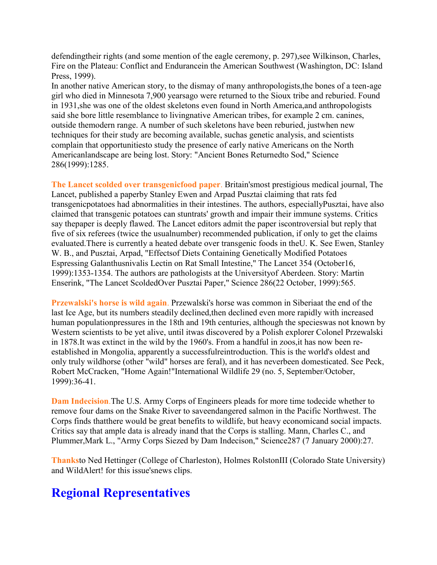defendingtheir rights (and some mention of the eagle ceremony, p. 297), see Wilkinson, Charles, Fire on the Plateau: Conflict and Endurancein the American Southwest (Washington, DC: Island Press, 1999).

In another native American story, to the dismay of many anthropologists,the bones of a teen-age girl who died in Minnesota 7,900 yearsago were returned to the Sioux tribe and reburied. Found in 1931,she was one of the oldest skeletons even found in North America,and anthropologists said she bore little resemblance to livingnative American tribes, for example 2 cm. canines, outside themodern range. A number of such skeletons have been reburied, justwhen new techniques for their study are becoming available, suchas genetic analysis, and scientists complain that opportunitiesto study the presence of early native Americans on the North Americanlandscape are being lost. Story: "Ancient Bones Returnedto Sod," Science 286(1999):1285.

**The Lancet scolded over transgenicfood paper**. Britain'smost prestigious medical journal, The Lancet, published a paperby Stanley Ewen and Arpad Pusztai claiming that rats fed transgenicpotatoes had abnormalities in their intestines. The authors, especiallyPusztai, have also claimed that transgenic potatoes can stuntrats' growth and impair their immune systems. Critics say thepaper is deeply flawed. The Lancet editors admit the paper iscontroversial but reply that five of six referees (twice the usualnumber) recommended publication, if only to get the claims evaluated.There is currently a heated debate over transgenic foods in theU. K. See Ewen, Stanley W. B., and Pusztai, Arpad, "Effectsof Diets Containing Genetically Modified Potatoes Espressing Galanthusnivalis Lectin on Rat Small Intestine," The Lancet 354 (October16, 1999):1353-1354. The authors are pathologists at the Universityof Aberdeen. Story: Martin Enserink, "The Lancet ScoldedOver Pusztai Paper," Science 286(22 October, 1999):565.

**Przewalski's horse is wild again**. Przewalski's horse was common in Siberiaat the end of the last Ice Age, but its numbers steadily declined,then declined even more rapidly with increased human populationpressures in the 18th and 19th centuries, although the specieswas not known by Western scientists to be yet alive, until itwas discovered by a Polish explorer Colonel Przewalski in 1878.It was extinct in the wild by the 1960's. From a handful in zoos,it has now been reestablished in Mongolia, apparently a successfulreintroduction. This is the world's oldest and only truly wildhorse (other "wild" horses are feral), and it has neverbeen domesticated. See Peck, Robert McCracken, "Home Again!"International Wildlife 29 (no. 5, September/October, 1999):36-41.

**Dam Indecision**.The U.S. Army Corps of Engineers pleads for more time todecide whether to remove four dams on the Snake River to saveendangered salmon in the Pacific Northwest. The Corps finds thatthere would be great benefits to wildlife, but heavy economicand social impacts. Critics say that ample data is already inand that the Corps is stalling. Mann, Charles C., and Plummer,Mark L., "Army Corps Siezed by Dam Indecison," Science287 (7 January 2000):27.

**Thanks**to Ned Hettinger (College of Charleston), Holmes RolstonIII (Colorado State University) and WildAlert! for this issue'snews clips.

## **Regional Representatives**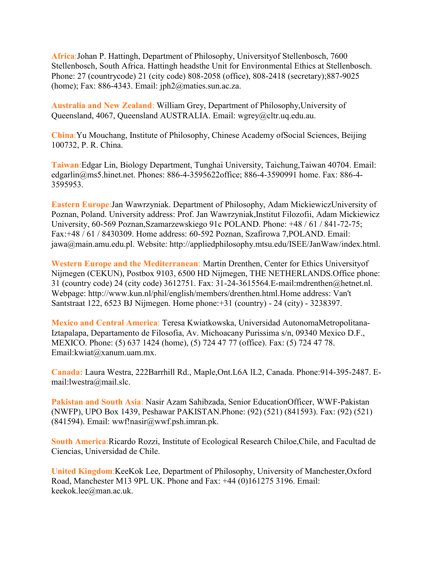**Africa**:Johan P. Hattingh, Department of Philosophy, Universityof Stellenbosch, 7600 Stellenbosch, South Africa. Hattingh headsthe Unit for Environmental Ethics at Stellenbosch. Phone: 27 (countrycode) 21 (city code) 808-2058 (office), 808-2418 (secretary);887-9025 (home); Fax: 886-4343. Email: jph2@maties.sun.ac.za.

**Australia and New Zealand**: William Grey, Department of Philosophy,University of Queensland, 4067, Queensland AUSTRALIA. Email: wgrey@cltr.uq.edu.au.

**China**:Yu Mouchang, Institute of Philosophy, Chinese Academy ofSocial Sciences, Beijing 100732, P. R. China.

**Taiwan**:Edgar Lin, Biology Department, Tunghai University, Taichung,Taiwan 40704. Email: edgarlin@ms5.hinet.net. Phones: 886-4-3595622office; 886-4-3590991 home. Fax: 886-4- 3595953.

**Eastern Europe**:Jan Wawrzyniak. Department of Philosophy, Adam MickiewiczUniversity of Poznan, Poland. University address: Prof. Jan Wawrzyniak,Institut Filozofii, Adam Mickiewicz University, 60-569 Poznan,Szamarzewskiego 91c POLAND. Phone: +48 / 61 / 841-72-75; Fax:+48 / 61 / 8430309. Home address: 60-592 Poznan, Szafirowa 7,POLAND. Email: jawa@main.amu.edu.pl. Website: http://appliedphilosophy.mtsu.edu/ISEE/JanWaw/index.html.

**Western Europe and the Mediterranean**: Martin Drenthen, Center for Ethics Universityof Nijmegen (CEKUN), Postbox 9103, 6500 HD Nijmegen, THE NETHERLANDS.Office phone: 31 (country code) 24 (city code) 3612751. Fax: 31-24-3615564.E-mail:mdrenthen@hetnet.nl. Webpage: http://www.kun.nl/phil/english/members/drenthen.html.Home address: Van't Santstraat 122, 6523 BJ Nijmegen. Home phone:+31 (country) - 24 (city) - 3238397.

**Mexico and Central America**: Teresa Kwiatkowska, Universidad AutonomaMetropolitana-Iztapalapa, Departamento de Filosofia, Av. Michoacany Purissima s/n, 09340 Mexico D.F., MEXICO. Phone: (5) 637 1424 (home), (5) 724 47 77 (office). Fax: (5) 724 47 78. Email:kwiat@xanum.uam.mx.

**Canada:** Laura Westra, 222Barrhill Rd., Maple,Ont.L6A lL2, Canada. Phone:914-395-2487. Email:lwestra@mail.slc.

**Pakistan and South Asia**: Nasir Azam Sahibzada, Senior EducationOfficer, WWF-Pakistan (NWFP), UPO Box 1439, Peshawar PAKISTAN.Phone: (92) (521) (841593). Fax: (92) (521) (841594). Email: wwf!nasir@wwf.psh.imran.pk.

**South America**:Ricardo Rozzi, Institute of Ecological Research Chiloe,Chile, and Facultad de Ciencias, Universidad de Chile.

**United Kingdom**:KeeKok Lee, Department of Philosophy, University of Manchester,Oxford Road, Manchester M13 9PL UK. Phone and Fax: +44 (0)161275 3196. Email: keekok.lee@man.ac.uk.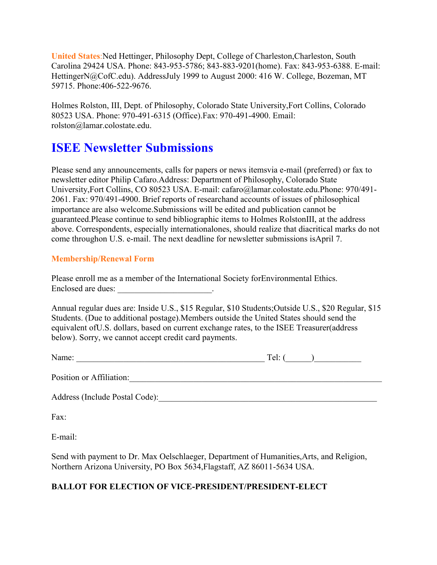**United States**:Ned Hettinger, Philosophy Dept, College of Charleston,Charleston, South Carolina 29424 USA. Phone: 843-953-5786; 843-883-9201(home). Fax: 843-953-6388. E-mail: HettingerN@CofC.edu). AddressJuly 1999 to August 2000: 416 W. College, Bozeman, MT 59715. Phone:406-522-9676.

Holmes Rolston, III, Dept. of Philosophy, Colorado State University,Fort Collins, Colorado 80523 USA. Phone: 970-491-6315 (Office).Fax: 970-491-4900. Email: rolston@lamar.colostate.edu.

### **ISEE Newsletter Submissions**

Please send any announcements, calls for papers or news itemsvia e-mail (preferred) or fax to newsletter editor Philip Cafaro.Address: Department of Philosophy, Colorado State University,Fort Collins, CO 80523 USA. E-mail: cafaro@lamar.colostate.edu.Phone: 970/491- 2061. Fax: 970/491-4900. Brief reports of researchand accounts of issues of philosophical importance are also welcome.Submissions will be edited and publication cannot be guaranteed.Please continue to send bibliographic items to Holmes RolstonIII, at the address above. Correspondents, especially internationalones, should realize that diacritical marks do not come throughon U.S. e-mail. The next deadline for newsletter submissions isApril 7.

#### **Membership/Renewal Form**

Please enroll me as a member of the International Society forEnvironmental Ethics. Enclosed are dues:

Annual regular dues are: Inside U.S., \$15 Regular, \$10 Students;Outside U.S., \$20 Regular, \$15 Students. (Due to additional postage).Members outside the United States should send the equivalent ofU.S. dollars, based on current exchange rates, to the ISEE Treasurer(address below). Sorry, we cannot accept credit card payments.

| Name: | --<br>ΔĿ<br>. . |  |
|-------|-----------------|--|
|       |                 |  |

Position or Affiliation:\_\_\_\_\_\_\_\_\_\_\_\_\_\_\_\_\_\_\_\_\_\_\_\_\_\_\_\_\_\_\_\_\_\_\_\_\_\_\_\_\_\_\_\_\_\_\_\_\_\_\_\_\_\_\_\_\_\_\_

Address (Include Postal Code):

Fax:

E-mail:

Send with payment to Dr. Max Oelschlaeger, Department of Humanities,Arts, and Religion, Northern Arizona University, PO Box 5634,Flagstaff, AZ 86011-5634 USA.

#### **BALLOT FOR ELECTION OF VICE-PRESIDENT/PRESIDENT-ELECT**